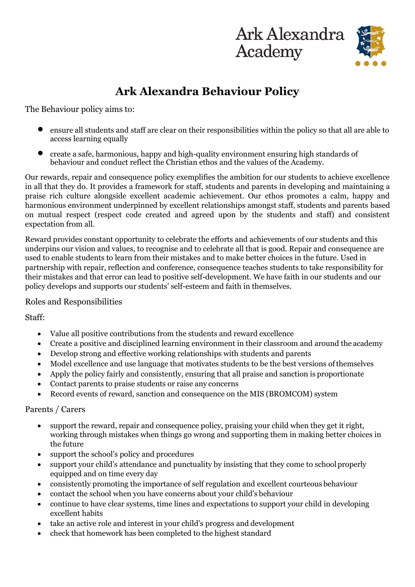

## **Ark Alexandra Behaviour Policy**

The Behaviour policy aims to:

- ensure all students and staff are clear on their responsibilities within the policy so that all are able to access learning equally
- create a safe, harmonious, happy and high-quality environment ensuring high standards of behaviour and conduct reflect the Christian ethos and the values of the Academy.

Our rewards, repair and consequence policy exemplifies the ambition for our students to achieve excellence in all that they do. It provides a framework for staff, students and parents in developing and maintaining a praise rich culture alongside excellent academic achievement. Our ethos promotes a calm, happy and harmonious environment underpinned by excellent relationships amongst staff, students and parents based on mutual respect (respect code created and agreed upon by the students and staff) and consistent expectation from all.

Reward provides constant opportunity to celebrate the efforts and achievements of our students and this underpins our vision and values, to recognise and to celebrate all that is good. Repair and consequence are used to enable students to learn from their mistakes and to make better choices in the future. Used in partnership with repair, reflection and conference, consequence teaches students to take responsibility for their mistakes and that error can lead to positive self-development. We have faith in our students and our policy develops and supports our students' self-esteem and faith in themselves.

## Roles and Responsibilities

Staff:

- Value all positive contributions from the students and reward excellence
- Create a positive and disciplined learning environment in their classroom and around the academy
- Develop strong and effective working relationships with students and parents
- Model excellence and use language that motivates students to be the best versions ofthemselves
- Apply the policy fairly and consistently, ensuring that all praise and sanction is proportionate
- Contact parents to praise students or raise any concerns
- Record events of reward, sanction and consequence on the MIS (BROMCOM) system

## Parents / Carers

- support the reward, repair and consequence policy, praising your child when they get it right, working through mistakes when things go wrong and supporting them in making better choices in the future
- support the school's policy and procedures
- support your child's attendance and punctuality by insisting that they come to school properly equipped and on time every day
- consistently promoting the importance of self regulation and excellent courteous behaviour
- contact the school when you have concerns about your child's behaviour
- continue to have clear systems, time lines and expectations to support your child in developing excellent habits
- take an active role and interest in your child's progress and development
- check that homework has been completed to the highest standard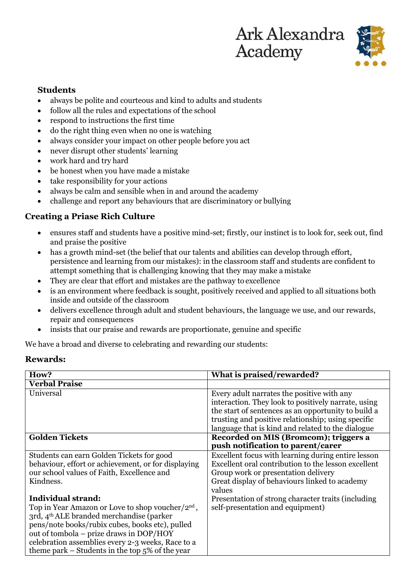

## **Students**

- always be polite and courteous and kind to adults and students
- follow all the rules and expectations of the school
- respond to instructions the first time
- do the right thing even when no one is watching
- always consider your impact on other people before you act
- never disrupt other students' learning
- work hard and try hard
- be honest when you have made a mistake
- take responsibility for your actions
- always be calm and sensible when in and around the academy
- challenge and report any behaviours that are discriminatory or bullying

## **Creating a Priase Rich Culture**

- ensures staff and students have a positive mind-set; firstly, our instinct is to look for, seek out, find and praise the positive
- has a growth mind-set (the belief that our talents and abilities can develop through effort, persistence and learning from our mistakes): in the classroom staff and students are confident to attempt something that is challenging knowing that they may make a mistake
- They are clear that effort and mistakes are the pathway to excellence
- is an environment where feedback is sought, positively received and applied to all situations both inside and outside of the classroom
- delivers excellence through adult and student behaviours, the language we use, and our rewards, repair and consequences
- insists that our praise and rewards are proportionate, genuine and specific

We have a broad and diverse to celebrating and rewarding our students:

#### **Rewards:**

| How?                                                         | What is praised/rewarded?                           |
|--------------------------------------------------------------|-----------------------------------------------------|
| <b>Verbal Praise</b>                                         |                                                     |
| Universal                                                    | Every adult narrates the positive with any          |
|                                                              | interaction. They look to positively narrate, using |
|                                                              | the start of sentences as an opportunity to build a |
|                                                              | trusting and positive relationship; using specific  |
|                                                              | language that is kind and related to the dialogue   |
| <b>Golden Tickets</b>                                        | Recorded on MIS (Bromcom); triggers a               |
|                                                              | push notification to parent/carer                   |
| Students can earn Golden Tickets for good                    | Excellent focus with learning during entire lesson  |
| behaviour, effort or achievement, or for displaying          | Excellent oral contribution to the lesson excellent |
| our school values of Faith, Excellence and                   | Group work or presentation delivery                 |
| Kindness.                                                    | Great display of behaviours linked to academy       |
|                                                              | values                                              |
| <b>Individual strand:</b>                                    | Presentation of strong character traits (including) |
| Top in Year Amazon or Love to shop voucher/2 <sup>nd</sup> , | self-presentation and equipment)                    |
| 3rd, 4 <sup>th</sup> ALE branded merchandise (parker         |                                                     |
| pens/note books/rubix cubes, books etc), pulled              |                                                     |
| out of tombola – prize draws in DOP/HOY                      |                                                     |
| celebration assemblies every 2-3 weeks, Race to a            |                                                     |
| theme park – Students in the top $5\%$ of the year           |                                                     |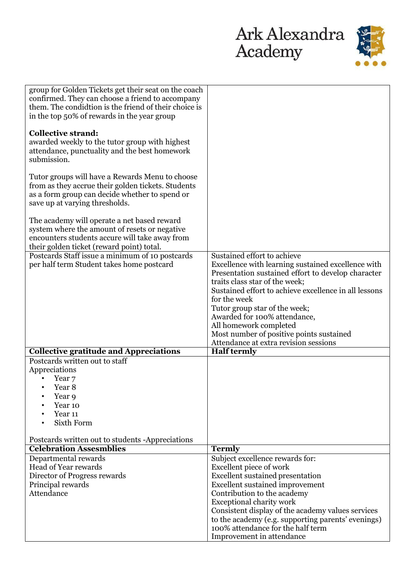

| group for Golden Tickets get their seat on the coach                                                      |                                                                                   |
|-----------------------------------------------------------------------------------------------------------|-----------------------------------------------------------------------------------|
| confirmed. They can choose a friend to accompany<br>them. The condidtion is the friend of their choice is |                                                                                   |
| in the top 50% of rewards in the year group                                                               |                                                                                   |
|                                                                                                           |                                                                                   |
| <b>Collective strand:</b><br>awarded weekly to the tutor group with highest                               |                                                                                   |
| attendance, punctuality and the best homework                                                             |                                                                                   |
| submission.                                                                                               |                                                                                   |
|                                                                                                           |                                                                                   |
| Tutor groups will have a Rewards Menu to choose<br>from as they accrue their golden tickets. Students     |                                                                                   |
| as a form group can decide whether to spend or                                                            |                                                                                   |
| save up at varying thresholds.                                                                            |                                                                                   |
| The academy will operate a net based reward                                                               |                                                                                   |
| system where the amount of resets or negative                                                             |                                                                                   |
| encounters students accure will take away from                                                            |                                                                                   |
| their golden ticket (reward point) total.                                                                 |                                                                                   |
| Postcards Staff issue a minimum of 10 postcards<br>per half term Student takes home postcard              | Sustained effort to achieve<br>Excellence with learning sustained excellence with |
|                                                                                                           | Presentation sustained effort to develop character                                |
|                                                                                                           | traits class star of the week;                                                    |
|                                                                                                           | Sustained effort to achieve excellence in all lessons                             |
|                                                                                                           | for the week                                                                      |
|                                                                                                           | Tutor group star of the week;<br>Awarded for 100% attendance,                     |
|                                                                                                           | All homework completed                                                            |
|                                                                                                           | Most number of positive points sustained                                          |
|                                                                                                           | Attendance at extra revision sessions                                             |
| <b>Collective gratitude and Appreciations</b><br>Postcards written out to staff                           | <b>Half termly</b>                                                                |
| Appreciations                                                                                             |                                                                                   |
| Year 7                                                                                                    |                                                                                   |
| Year 8                                                                                                    |                                                                                   |
| Year 9<br>٠                                                                                               |                                                                                   |
| Year 10<br>Year 11                                                                                        |                                                                                   |
| Sixth Form                                                                                                |                                                                                   |
| Postcards written out to students -Appreciations                                                          |                                                                                   |
| <b>Celebration Assesmblies</b>                                                                            | <b>Termly</b>                                                                     |
| Departmental rewards                                                                                      | Subject excellence rewards for:                                                   |
| Head of Year rewards                                                                                      | Excellent piece of work                                                           |
| Director of Progress rewards                                                                              | <b>Excellent sustained presentation</b>                                           |
| Principal rewards<br>Attendance                                                                           | <b>Excellent sustained improvement</b>                                            |
|                                                                                                           | Contribution to the academy<br><b>Exceptional charity work</b>                    |
|                                                                                                           | Consistent display of the academy values services                                 |
|                                                                                                           | to the academy (e.g. supporting parents' evenings)                                |
|                                                                                                           | 100% attendance for the half term                                                 |
|                                                                                                           | Improvement in attendance                                                         |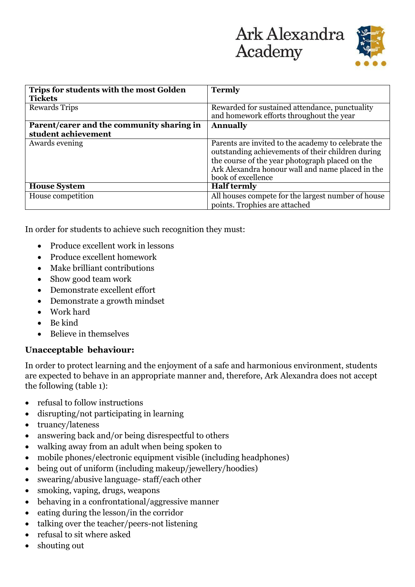

| Trips for students with the most Golden   | <b>Termly</b>                                                                                                                                                                                                                         |
|-------------------------------------------|---------------------------------------------------------------------------------------------------------------------------------------------------------------------------------------------------------------------------------------|
| <b>Tickets</b>                            |                                                                                                                                                                                                                                       |
| <b>Rewards Trips</b>                      | Rewarded for sustained attendance, punctuality<br>and homework efforts throughout the year                                                                                                                                            |
| Parent/carer and the community sharing in | <b>Annually</b>                                                                                                                                                                                                                       |
| student achievement                       |                                                                                                                                                                                                                                       |
| Awards evening                            | Parents are invited to the academy to celebrate the<br>outstanding achievements of their children during<br>the course of the year photograph placed on the<br>Ark Alexandra honour wall and name placed in the<br>book of excellence |
| <b>House System</b>                       | <b>Half termly</b>                                                                                                                                                                                                                    |
| House competition                         | All houses compete for the largest number of house<br>points. Trophies are attached                                                                                                                                                   |

In order for students to achieve such recognition they must:

- Produce excellent work in lessons
- Produce excellent homework
- Make brilliant contributions
- Show good team work
- Demonstrate excellent effort
- Demonstrate a growth mindset
- Work hard
- Be kind
- Believe in themselves

## **Unacceptable behaviour:**

In order to protect learning and the enjoyment of a safe and harmonious environment, students are expected to behave in an appropriate manner and, therefore, Ark Alexandra does not accept the following (table 1):

- refusal to follow instructions
- disrupting/not participating in learning
- truancy/lateness
- answering back and/or being disrespectful to others
- walking away from an adult when being spoken to
- mobile phones/electronic equipment visible (including headphones)
- being out of uniform (including makeup/jewellery/hoodies)
- swearing/abusive language-staff/each other
- smoking, vaping, drugs, weapons
- behaving in a confrontational/aggressive manner
- eating during the lesson/in the corridor
- talking over the teacher/peers-not listening
- refusal to sit where asked
- shouting out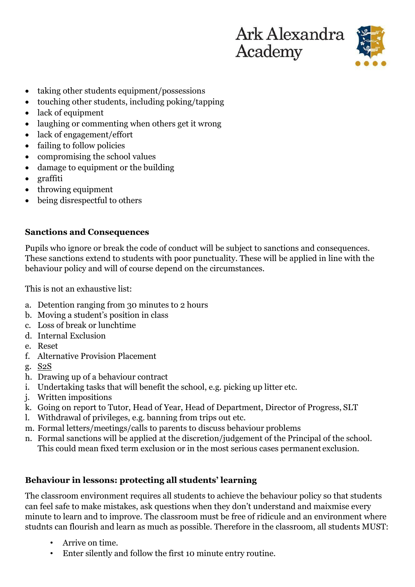

- taking other students equipment/possessions
- touching other students, including poking/tapping
- lack of equipment
- laughing or commenting when others get it wrong
- lack of engagement/effort
- failing to follow policies
- compromising the school values
- damage to equipment or the building
- graffiti
- throwing equipment
- being disrespectful to others

## **Sanctions and Consequences**

Pupils who ignore or break the code of conduct will be subject to sanctions and consequences. These sanctions extend to students with poor punctuality. These will be applied in line with the behaviour policy and will of course depend on the circumstances.

This is not an exhaustive list:

- a. Detention ranging from 30 minutes to 2 hours
- b. Moving a student's position in class
- c. Loss of break or lunchtime
- d. Internal Exclusion
- e. Reset
- f. Alternative Provision Placement
- g. S2S
- h. Drawing up of a behaviour contract
- i. Undertaking tasks that will benefit the school, e.g. picking up litter etc.
- j. Written impositions
- k. Going on report to Tutor, Head of Year, Head of Department, Director of Progress, SLT
- l. Withdrawal of privileges, e.g. banning from trips out etc.
- m. Formal letters/meetings/calls to parents to discuss behaviour problems
- n. Formal sanctions will be applied at the discretion/judgement of the Principal of the school. This could mean fixed term exclusion or in the most serious cases permanent exclusion.

## **Behaviour in lessons: protecting all students' learning**

The classroom environment requires all students to achieve the behaviour policy so that students can feel safe to make mistakes, ask questions when they don't understand and maixmise every minute to learn and to improve. The classroom must be free of ridicule and an environment where studnts can flourish and learn as much as possible. Therefore in the classroom, all students MUST:

- Arrive on time.
- Enter silently and follow the first 10 minute entry routine.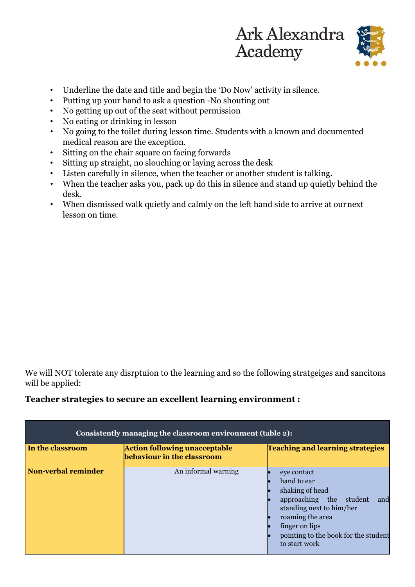

- Underline the date and title and begin the 'Do Now' activity in silence.
- Putting up your hand to ask a question -No shouting out
- No getting up out of the seat without permission
- No eating or drinking in lesson
- No going to the toilet during lesson time. Students with a known and documented medical reason are the exception.
- Sitting on the chair square on facing forwards
- Sitting up straight, no slouching or laying across the desk
- Listen carefully in silence, when the teacher or another student is talking.
- When the teacher asks you, pack up do this in silence and stand up quietly behind the desk.
- When dismissed walk quietly and calmly on the left hand side to arrive at ournext lesson on time.

We will NOT tolerate any disrptuion to the learning and so the following stratgeiges and sancitons will be applied:

## **Teacher strategies to secure an excellent learning environment :**

| Consistently managing the classroom environment (table 2): |                                                                    |                                                                                                                                                                                                            |  |
|------------------------------------------------------------|--------------------------------------------------------------------|------------------------------------------------------------------------------------------------------------------------------------------------------------------------------------------------------------|--|
| In the classroom                                           | <b>Action following unacceptable</b><br>behaviour in the classroom | <b>Teaching and learning strategies</b>                                                                                                                                                                    |  |
| <b>Non-verbal reminder</b>                                 | An informal warning                                                | eye contact<br>hand to ear<br>shaking of head<br>and<br>approaching the student<br>standing next to him/her<br>roaming the area<br>finger on lips<br>pointing to the book for the student<br>to start work |  |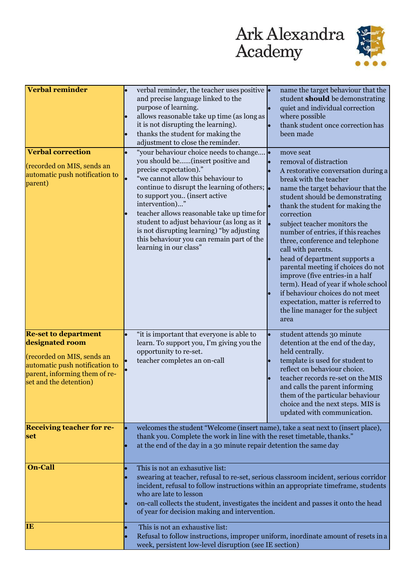

| <b>Verbal reminder</b>                                                                                                                                                    | verbal reminder, the teacher uses positive $\cdot$<br>and precise language linked to the<br>purpose of learning.<br>allows reasonable take up time (as long as<br>it is not disrupting the learning).<br>thanks the student for making the<br>adjustment to close the reminder.                                                                                                                                                                                                | name the target behaviour that the<br>student should be demonstrating<br>quiet and individual correction<br>where possible<br>thank student once correction has<br>been made                                                                                                                                                                                                                                                                                                                                                                                                                                                          |  |
|---------------------------------------------------------------------------------------------------------------------------------------------------------------------------|--------------------------------------------------------------------------------------------------------------------------------------------------------------------------------------------------------------------------------------------------------------------------------------------------------------------------------------------------------------------------------------------------------------------------------------------------------------------------------|---------------------------------------------------------------------------------------------------------------------------------------------------------------------------------------------------------------------------------------------------------------------------------------------------------------------------------------------------------------------------------------------------------------------------------------------------------------------------------------------------------------------------------------------------------------------------------------------------------------------------------------|--|
| <b>Verbal correction</b><br>(recorded on MIS, sends an<br>automatic push notification to<br>parent)                                                                       | "your behaviour choice needs to change<br>you should be(insert positive and<br>precise expectation)."<br>"we cannot allow this behaviour to<br>continue to disrupt the learning of others; $\left  \right $<br>to support you (insert active<br>intervention)"<br>teacher allows reasonable take up time for<br>student to adjust behaviour (as long as it<br>is not disrupting learning) "by adjusting<br>this behaviour you can remain part of the<br>learning in our class" | move seat<br>removal of distraction<br>A restorative conversation during a<br>break with the teacher<br>name the target behaviour that the<br>student should be demonstrating<br>thank the student for making the<br>correction<br>subject teacher monitors the<br>number of entries, if this reaches<br>three, conference and telephone<br>call with parents.<br>head of department supports a<br>parental meeting if choices do not<br>improve (five entries-in a half<br>term). Head of year if whole school<br>if behaviour choices do not meet<br>expectation, matter is referred to<br>the line manager for the subject<br>area |  |
| <b>Re-set to department</b><br>designated room<br>(recorded on MIS, sends an<br>automatic push notification to<br>parent, informing them of re-<br>set and the detention) | "it is important that everyone is able to<br>learn. To support you, I'm giving you the<br>opportunity to re-set.<br>teacher completes an on-call                                                                                                                                                                                                                                                                                                                               | student attends 30 minute<br>detention at the end of the day,<br>held centrally.<br>template is used for student to<br>reflect on behaviour choice.<br>teacher records re-set on the MIS<br>and calls the parent informing<br>them of the particular behaviour<br>choice and the next steps. MIS is<br>updated with communication.                                                                                                                                                                                                                                                                                                    |  |
| <b>Receiving teacher for re-</b><br>set                                                                                                                                   | welcomes the student "Welcome (insert name), take a seat next to (insert place),<br>thank you. Complete the work in line with the reset timetable, thanks."<br>at the end of the day in a 30 minute repair detention the same day                                                                                                                                                                                                                                              |                                                                                                                                                                                                                                                                                                                                                                                                                                                                                                                                                                                                                                       |  |
| <b>On-Call</b>                                                                                                                                                            | This is not an exhasutive list:<br>swearing at teacher, refusal to re-set, serious classroom incident, serious corridor<br>incident, refusal to follow instructions within an appropriate timeframe, students<br>who are late to lesson<br>on-call collects the student, investigates the incident and passes it onto the head<br>of year for decision making and intervention.                                                                                                |                                                                                                                                                                                                                                                                                                                                                                                                                                                                                                                                                                                                                                       |  |
| <b>IB</b>                                                                                                                                                                 | This is not an exhaustive list:<br>Refusal to follow instructions, improper uniform, inordinate amount of resets in a<br>week, persistent low-level disruption (see IE section)                                                                                                                                                                                                                                                                                                |                                                                                                                                                                                                                                                                                                                                                                                                                                                                                                                                                                                                                                       |  |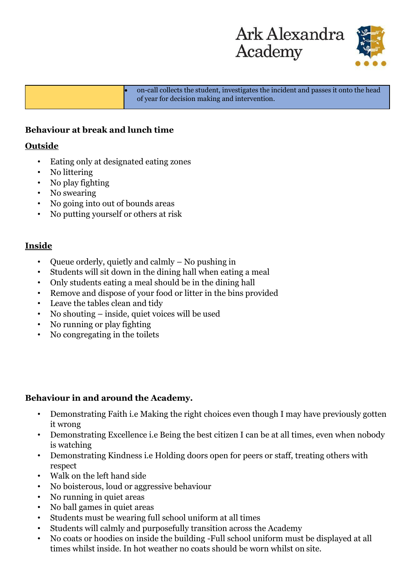



• on-call collects the student, investigates the incident and passes it onto the head of year for decision making and intervention.

## **Behaviour at break and lunch time**

## **Outside**

- Eating only at designated eating zones
- No littering
- No play fighting
- No swearing
- No going into out of bounds areas
- No putting yourself or others at risk

## **Inside**

- Queue orderly, quietly and calmly No pushing in
- Students will sit down in the dining hall when eating a meal
- Only students eating a meal should be in the dining hall
- Remove and dispose of your food or litter in the bins provided
- Leave the tables clean and tidy
- No shouting inside, quiet voices will be used
- No running or play fighting
- No congregating in the toilets

## **Behaviour in and around the Academy.**

- Demonstrating Faith i.e Making the right choices even though I may have previously gotten it wrong
- Demonstrating Excellence i.e Being the best citizen I can be at all times, even when nobody is watching
- Demonstrating Kindness i.e Holding doors open for peers or staff, treating others with respect
- Walk on the left hand side
- No boisterous, loud or aggressive behaviour
- No running in quiet areas
- No ball games in quiet areas
- Students must be wearing full school uniform at all times
- Students will calmly and purposefully transition across the Academy
- No coats or hoodies on inside the building -Full school uniform must be displayed at all times whilst inside. In hot weather no coats should be worn whilst on site.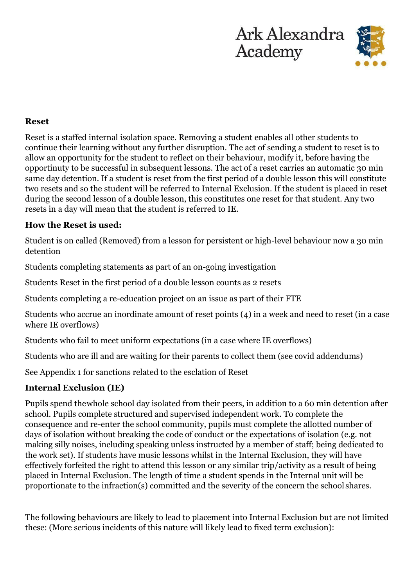



## **Reset**

Reset is a staffed internal isolation space. Removing a student enables all other students to continue their learning without any further disruption. The act of sending a student to reset is to allow an opportunity for the student to reflect on their behaviour, modify it, before having the opportinuty to be successful in subsequent lessons. The act of a reset carries an automatic 30 min same day detention. If a student is reset from the first period of a double lesson this will constitute two resets and so the student will be referred to Internal Exclusion. If the student is placed in reset during the second lesson of a double lesson, this constitutes one reset for that student. Any two resets in a day will mean that the student is referred to IE.

## **How the Reset is used:**

Student is on called (Removed) from a lesson for persistent or high-level behaviour now a 30 min detention

Students completing statements as part of an on-going investigation

Students Reset in the first period of a double lesson counts as 2 resets

Students completing a re-education project on an issue as part of their FTE

Students who accrue an inordinate amount of reset points (4) in a week and need to reset (in a case where IE overflows)

Students who fail to meet uniform expectations (in a case where IE overflows)

Students who are ill and are waiting for their parents to collect them (see covid addendums)

See Appendix 1 for sanctions related to the esclation of Reset

## **Internal Exclusion (IE)**

Pupils spend thewhole school day isolated from their peers, in addition to a 60 min detention after school. Pupils complete structured and supervised independent work. To complete the consequence and re-enter the school community, pupils must complete the allotted number of days of isolation without breaking the code of conduct or the expectations of isolation (e.g. not making silly noises, including speaking unless instructed by a member of staff; being dedicated to the work set). If students have music lessons whilst in the Internal Exclusion, they will have effectively forfeited the right to attend this lesson or any similar trip/activity as a result of being placed in Internal Exclusion. The length of time a student spends in the Internal unit will be proportionate to the infraction(s) committed and the severity of the concern the school shares.

The following behaviours are likely to lead to placement into Internal Exclusion but are not limited these: (More serious incidents of this nature will likely lead to fixed term exclusion):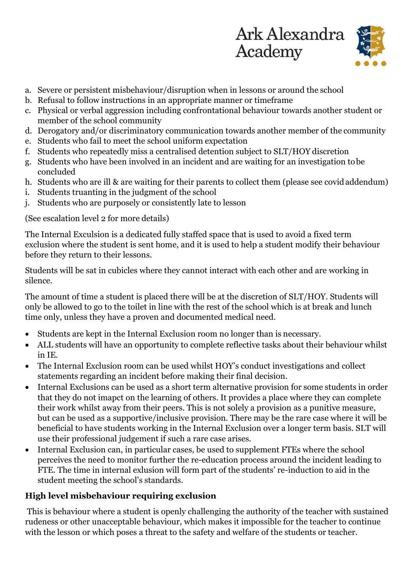



- a. Severe or persistent misbehaviour/disruption when in lessons or around the school
- b. Refusal to follow instructions in an appropriate manner or timeframe
- c. Physical or verbal aggression including confrontational behaviour towards another student or member of the school community
- d. Derogatory and/or discriminatory communication towards another member of the community
- e. Students who fail to meet the school uniform expectation
- f. Students who repeatedly miss a centralised detention subject to SLT/HOY discretion
- g. Students who have been involved in an incident and are waiting for an investigation tobe concluded
- h. Students who are ill & are waiting for their parents to collect them (please see covidaddendum)
- i. Students truanting in the judgment of the school
- j. Students who are purposely or consistently late to lesson

(See escalation level 2 for more details)

The Internal Exculsion is a dedicated fully staffed space that is used to avoid a fixed term exclusion where the student is sent home, and it is used to help a student modify their behaviour before they return to their lessons.

Students will be sat in cubicles where they cannot interact with each other and are working in silence.

The amount of time a student is placed there will be at the discretion of SLT/HOY. Students will only be allowed to go to the toilet in line with the rest of the school which is at break and lunch time only, unless they have a proven and documented medical need.

- Students are kept in the Internal Exclusion room no longer than is necessary.
- ALL students will have an opportunity to complete reflective tasks about their behaviour whilst in IE.
- The Internal Exclusion room can be used whilst HOY's conduct investigations and collect statements regarding an incident before making their final decision.
- Internal Exclusions can be used as a short term alternative provision for some students in order that they do not imapct on the learning of others. It provides a place where they can complete their work whilst away from their peers. This is not solely a provision as a punitive measure, but can be used as a supportive/inclusive provision. There may be the rare case where it will be beneficial to have students working in the Internal Exclusion over a longer term basis. SLT will use their professional judgement if such a rare case arises.
- Internal Exclusion can, in particular cases, be used to supplement FTEs where the school perceives the need to monitor further the re-education process around the incident leading to FTE. The time in internal exlusion will form part of the students' re-induction to aid in the student meeting the school's standards.

## **High level misbehaviour requiring exclusion**

This is behaviour where a student is openly challenging the authority of the teacher with sustained rudeness or other unacceptable behaviour, which makes it impossible for the teacher to continue with the lesson or which poses a threat to the safety and welfare of the students or teacher.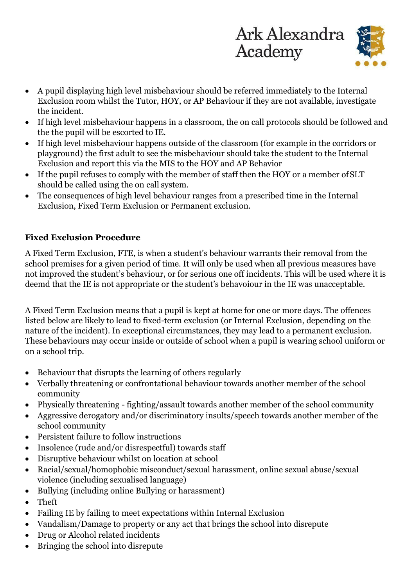

- A pupil displaying high level misbehaviour should be referred immediately to the Internal Exclusion room whilst the Tutor, HOY, or AP Behaviour if they are not available, investigate the incident.
- If high level misbehaviour happens in a classroom, the on call protocols should be followed and the the pupil will be escorted to IE.
- If high level misbehaviour happens outside of the classroom (for example in the corridors or playground) the first adult to see the misbehaviour should take the student to the Internal Exclusion and report this via the MIS to the HOY and AP Behavior
- If the pupil refuses to comply with the member of staff then the HOY or a member of SLT should be called using the on call system.
- The consequences of high level behaviour ranges from a prescribed time in the Internal Exclusion, Fixed Term Exclusion or Permanent exclusion.

## **Fixed Exclusion Procedure**

A Fixed Term Exclusion, FTE, is when a student's behaviour warrants their removal from the school premises for a given period of time. It will only be used when all previous measures have not improved the student's behaviour, or for serious one off incidents. This will be used where it is deemd that the IE is not appropriate or the student's behavoiour in the IE was unacceptable.

A Fixed Term Exclusion means that a pupil is kept at home for one or more days. The offences listed below are likely to lead to fixed-term exclusion (or Internal Exclusion, depending on the nature of the incident). In exceptional circumstances, they may lead to a permanent exclusion. These behaviours may occur inside or outside of school when a pupil is wearing school uniform or on a school trip.

- Behaviour that disrupts the learning of others regularly
- Verbally threatening or confrontational behaviour towards another member of the school community
- Physically threatening fighting/assault towards another member of the school community
- Aggressive derogatory and/or discriminatory insults/speech towards another member of the school community
- Persistent failure to follow instructions
- Insolence (rude and/or disrespectful) towards staff
- Disruptive behaviour whilst on location at school
- Racial/sexual/homophobic misconduct/sexual harassment, online sexual abuse/sexual violence (including sexualised language)
- Bullying (including online Bullying or harassment)
- Theft
- Failing IE by failing to meet expectations within Internal Exclusion
- Vandalism/Damage to property or any act that brings the school into disrepute
- Drug or Alcohol related incidents
- Bringing the school into disrepute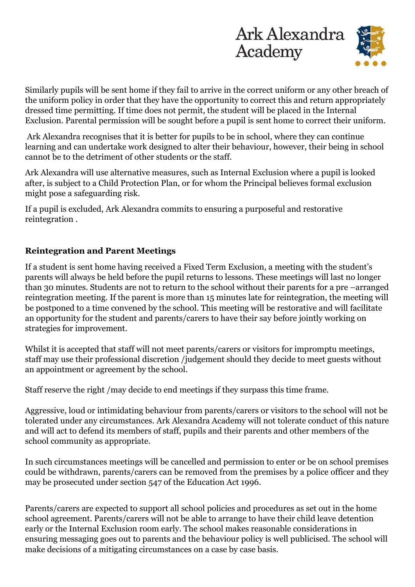

Similarly pupils will be sent home if they fail to arrive in the correct uniform or any other breach of the uniform policy in order that they have the opportunity to correct this and return appropriately dressed time permitting. If time does not permit, the student will be placed in the Internal Exclusion. Parental permission will be sought before a pupil is sent home to correct their uniform.

Ark Alexandra recognises that it is better for pupils to be in school, where they can continue learning and can undertake work designed to alter their behaviour, however, their being in school cannot be to the detriment of other students or the staff.

Ark Alexandra will use alternative measures, such as Internal Exclusion where a pupil is looked after, is subject to a Child Protection Plan, or for whom the Principal believes formal exclusion might pose a safeguarding risk.

If a pupil is excluded, Ark Alexandra commits to ensuring a purposeful and restorative reintegration .

## **Reintegration and Parent Meetings**

If a student is sent home having received a Fixed Term Exclusion, a meeting with the student's parents will always be held before the pupil returns to lessons. These meetings will last no longer than 30 minutes. Students are not to return to the school without their parents for a pre –arranged reintegration meeting. If the parent is more than 15 minutes late for reintegration, the meeting will be postponed to a time convened by the school. This meeting will be restorative and will facilitate an opportunity for the student and parents/carers to have their say before jointly working on strategies for improvement.

Whilst it is accepted that staff will not meet parents/carers or visitors for impromptu meetings, staff may use their professional discretion /judgement should they decide to meet guests without an appointment or agreement by the school.

Staff reserve the right /may decide to end meetings if they surpass this time frame.

Aggressive, loud or intimidating behaviour from parents/carers or visitors to the school will not be tolerated under any circumstances. Ark Alexandra Academy will not tolerate conduct of this nature and will act to defend its members of staff, pupils and their parents and other members of the school community as appropriate.

In such circumstances meetings will be cancelled and permission to enter or be on school premises could be withdrawn, parents/carers can be removed from the premises by a police officer and they may be prosecuted under section 547 of the Education Act 1996.

Parents/carers are expected to support all school policies and procedures as set out in the home school agreement. Parents/carers will not be able to arrange to have their child leave detention early or the Internal Exclusion room early. The school makes reasonable considerations in ensuring messaging goes out to parents and the behaviour policy is well publicised. The school will make decisions of a mitigating circumstances on a case by case basis.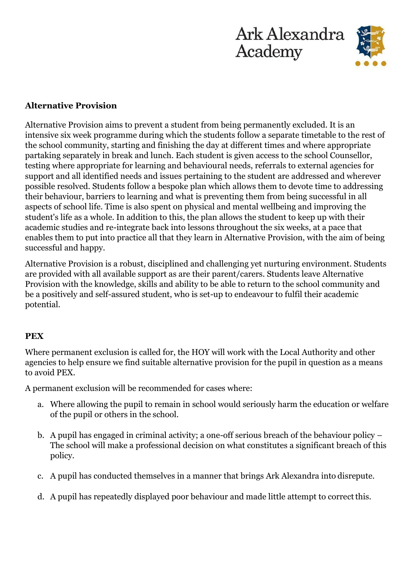



## **Alternative Provision**

Alternative Provision aims to prevent a student from being permanently excluded. It is an intensive six week programme during which the students follow a separate timetable to the rest of the school community, starting and finishing the day at different times and where appropriate partaking separately in break and lunch. Each student is given access to the school Counsellor, testing where appropriate for learning and behavioural needs, referrals to external agencies for support and all identified needs and issues pertaining to the student are addressed and wherever possible resolved. Students follow a bespoke plan which allows them to devote time to addressing their behaviour, barriers to learning and what is preventing them from being successful in all aspects of school life. Time is also spent on physical and mental wellbeing and improving the student's life as a whole. In addition to this, the plan allows the student to keep up with their academic studies and re-integrate back into lessons throughout the six weeks, at a pace that enables them to put into practice all that they learn in Alternative Provision, with the aim of being successful and happy.

Alternative Provision is a robust, disciplined and challenging yet nurturing environment. Students are provided with all available support as are their parent/carers. Students leave Alternative Provision with the knowledge, skills and ability to be able to return to the school community and be a positively and self-assured student, who is set-up to endeavour to fulfil their academic potential.

## **PEX**

Where permanent exclusion is called for, the HOY will work with the Local Authority and other agencies to help ensure we find suitable alternative provision for the pupil in question as a means to avoid PEX.

A permanent exclusion will be recommended for cases where:

- a. Where allowing the pupil to remain in school would seriously harm the education or welfare of the pupil or others in the school.
- b. A pupil has engaged in criminal activity; a one-off serious breach of the behaviour policy The school will make a professional decision on what constitutes a significant breach of this policy.
- c. A pupil has conducted themselves in a manner that brings Ark Alexandra into disrepute.
- d. A pupil has repeatedly displayed poor behaviour and made little attempt to correctthis.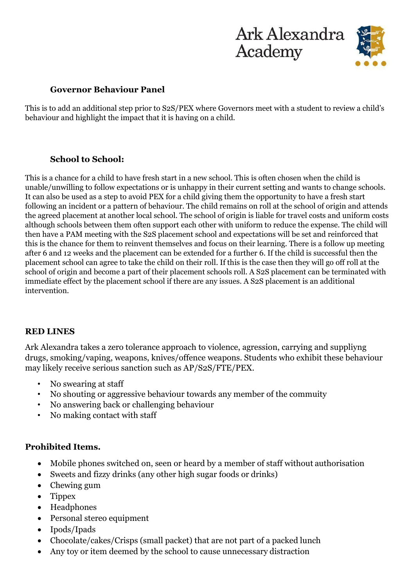



#### **Governor Behaviour Panel**

This is to add an additional step prior to S2S/PEX where Governors meet with a student to review a child's behaviour and highlight the impact that it is having on a child.

## **School to School:**

This is a chance for a child to have fresh start in a new school. This is often chosen when the child is unable/unwilling to follow expectations or is unhappy in their current setting and wants to change schools. It can also be used as a step to avoid PEX for a child giving them the opportunity to have a fresh start following an incident or a pattern of behaviour. The child remains on roll at the school of origin and attends the agreed placement at another local school. The school of origin is liable for travel costs and uniform costs although schools between them often support each other with uniform to reduce the expense. The child will then have a PAM meeting with the S2S placement school and expectations will be set and reinforced that this is the chance for them to reinvent themselves and focus on their learning. There is a follow up meeting after 6 and 12 weeks and the placement can be extended for a further 6. If the child is successful then the placement school can agree to take the child on their roll. If this is the case then they will go off roll at the school of origin and become a part of their placement schools roll. A S2S placement can be terminated with immediate effect by the placement school if there are any issues. A S2S placement is an additional intervention.

## **RED LINES**

Ark Alexandra takes a zero tolerance approach to violence, agression, carrying and suppliyng drugs, smoking/vaping, weapons, knives/offence weapons. Students who exhibit these behaviour may likely receive serious sanction such as AP/S2S/FTE/PEX.

- No swearing at staff
- No shouting or aggressive behaviour towards any member of the commuity
- No answering back or challenging behaviour
- No making contact with staff

## **Prohibited Items.**

- Mobile phones switched on, seen or heard by a member of staff without authorisation
- Sweets and fizzy drinks (any other high sugar foods or drinks)
- Chewing gum
- Tippex
- Headphones
- Personal stereo equipment
- Ipods/Ipads
- Chocolate/cakes/Crisps (small packet) that are not part of a packed lunch
- Any toy or item deemed by the school to cause unnecessary distraction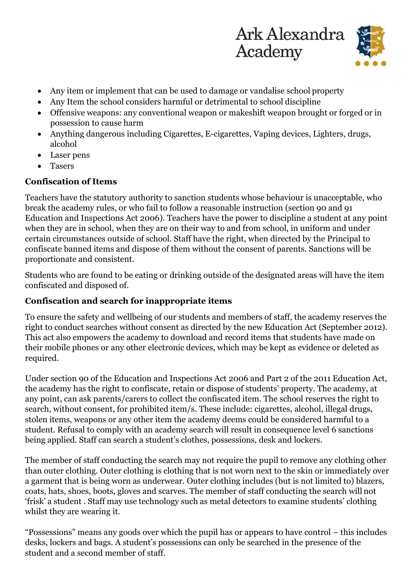



- Any item or implement that can be used to damage or vandalise school property
- Any Item the school considers harmful or detrimental to school discipline
- Offensive weapons: any conventional weapon or makeshift weapon brought or forged or in possession to cause harm
- Anything dangerous including Cigarettes, E-cigarettes, Vaping devices, Lighters, drugs, alcohol
- Laser pens
- **Tasers**

## **Confiscation of Items**

Teachers have the statutory authority to sanction students whose behaviour is unacceptable, who break the academy rules, or who fail to follow a reasonable instruction (section 90 and 91 Education and Inspections Act 2006). Teachers have the power to discipline a student at any point when they are in school, when they are on their way to and from school, in uniform and under certain circumstances outside of school. Staff have the right, when directed by the Principal to confiscate banned items and dispose of them without the consent of parents. Sanctions will be proportionate and consistent.

Students who are found to be eating or drinking outside of the designated areas will have the item confiscated and disposed of.

## **Confiscation and search for inappropriate items**

To ensure the safety and wellbeing of our students and members of staff, the academy reserves the right to conduct searches without consent as directed by the new Education Act (September 2012). This act also empowers the academy to download and record items that students have made on their mobile phones or any other electronic devices, which may be kept as evidence or deleted as required.

Under section 90 of the Education and Inspections Act 2006 and Part 2 of the 2011 Education Act, the academy has the right to confiscate, retain or dispose of students' property. The academy, at any point, can ask parents/carers to collect the confiscated item. The school reserves the right to search, without consent, for prohibited item/s. These include: cigarettes, alcohol, illegal drugs, stolen items, weapons or any other item the academy deems could be considered harmful to a student. Refusal to comply with an academy search will result in consequence level 6 sanctions being applied. Staff can search a student's clothes, possessions, desk and lockers.

The member of staff conducting the search may not require the pupil to remove any clothing other than outer clothing. Outer clothing is clothing that is not worn next to the skin or immediately over a garment that is being worn as underwear. Outer clothing includes (but is not limited to) blazers, coats, hats, shoes, boots, gloves and scarves. The member of staff conducting the search will not 'frisk' a student . Staff may use technology such as metal detectors to examine students' clothing whilst they are wearing it.

"Possessions" means any goods over which the pupil has or appears to have control – this includes desks, lockers and bags. A student's possessions can only be searched in the presence of the student and a second member of staff.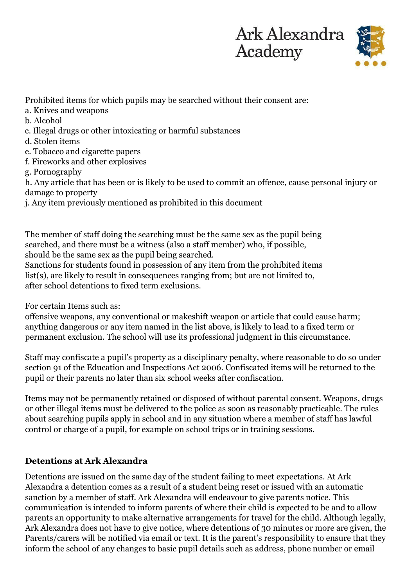

Prohibited items for which pupils may be searched without their consent are:

- a. Knives and weapons
- b. Alcohol
- c. Illegal drugs or other intoxicating or harmful substances
- d. Stolen items
- e. Tobacco and cigarette papers
- f. Fireworks and other explosives

g. Pornography

h. Any article that has been or is likely to be used to commit an offence, cause personal injury or damage to property

j. Any item previously mentioned as prohibited in this document

The member of staff doing the searching must be the same sex as the pupil being searched, and there must be a witness (also a staff member) who, if possible, should be the same sex as the pupil being searched.

Sanctions for students found in possession of any item from the prohibited items list(s), are likely to result in consequences ranging from; but are not limited to, after school detentions to fixed term exclusions.

For certain Items such as:

offensive weapons, any conventional or makeshift weapon or article that could cause harm; anything dangerous or any item named in the list above, is likely to lead to a fixed term or permanent exclusion. The school will use its professional judgment in this circumstance.

Staff may confiscate a pupil's property as a disciplinary penalty, where reasonable to do so under section 91 of the Education and Inspections Act 2006. Confiscated items will be returned to the pupil or their parents no later than six school weeks after confiscation.

Items may not be permanently retained or disposed of without parental consent. Weapons, drugs or other illegal items must be delivered to the police as soon as reasonably practicable. The rules about searching pupils apply in school and in any situation where a member of staff has lawful control or charge of a pupil, for example on school trips or in training sessions.

## **Detentions at Ark Alexandra**

Detentions are issued on the same day of the student failing to meet expectations. At Ark Alexandra a detention comes as a result of a student being reset or issued with an automatic sanction by a member of staff. Ark Alexandra will endeavour to give parents notice. This communication is intended to inform parents of where their child is expected to be and to allow parents an opportunity to make alternative arrangements for travel for the child. Although legally, Ark Alexandra does not have to give notice, where detentions of 30 minutes or more are given, the Parents/carers will be notified via email or text. It is the parent's responsibility to ensure that they inform the school of any changes to basic pupil details such as address, phone number or email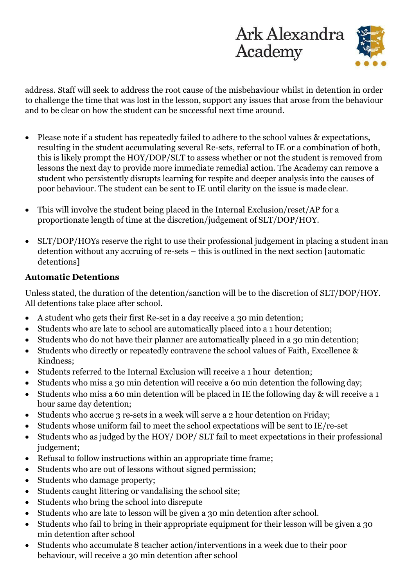

address. Staff will seek to address the root cause of the misbehaviour whilst in detention in order to challenge the time that was lost in the lesson, support any issues that arose from the behaviour and to be clear on how the student can be successful next time around.

- Please note if a student has repeatedly failed to adhere to the school values & expectations, resulting in the student accumulating several Re-sets, referral to IE or a combination of both, this is likely prompt the HOY/DOP/SLT to assess whether or not the student is removed from lessons the next day to provide more immediate remedial action. The Academy can remove a student who persistently disrupts learning for respite and deeper analysis into the causes of poor behaviour. The student can be sent to IE until clarity on the issue is made clear.
- This will involve the student being placed in the Internal Exclusion/reset/AP for a proportionate length of time at the discretion/judgement of SLT/DOP/HOY.
- SLT/DOP/HOYs reserve the right to use their professional judgement in placing a student inan detention without any accruing of re-sets – this is outlined in the next section [automatic detentions]

## **Automatic Detentions**

Unless stated, the duration of the detention/sanction will be to the discretion of SLT/DOP/HOY. All detentions take place after school.

- A student who gets their first Re-set in a day receive a 30 min detention;
- Students who are late to school are automatically placed into a 1 hour detention;
- Students who do not have their planner are automatically placed in a 30 min detention;
- Students who directly or repeatedly contravene the school values of Faith, Excellence & Kindness;
- Students referred to the Internal Exclusion will receive a 1 hour detention;
- Students who miss a 30 min detention will receive a 60 min detention the following day;
- Students who miss a 60 min detention will be placed in IE the following day & will receive a 1 hour same day detention;
- Students who accrue 3 re-sets in a week will serve a 2 hour detention on Friday;
- Students whose uniform fail to meet the school expectations will be sent to IE/re-set
- Students who as judged by the HOY/ DOP/ SLT fail to meet expectations in their professional judgement;
- Refusal to follow instructions within an appropriate time frame;
- Students who are out of lessons without signed permission;
- Students who damage property;
- Students caught littering or vandalising the school site;
- Students who bring the school into disrepute
- Students who are late to lesson will be given a 30 min detention after school.
- Students who fail to bring in their appropriate equipment for their lesson will be given a 30 min detention after school
- Students who accumulate 8 teacher action/interventions in a week due to their poor behaviour, will receive a 30 min detention after school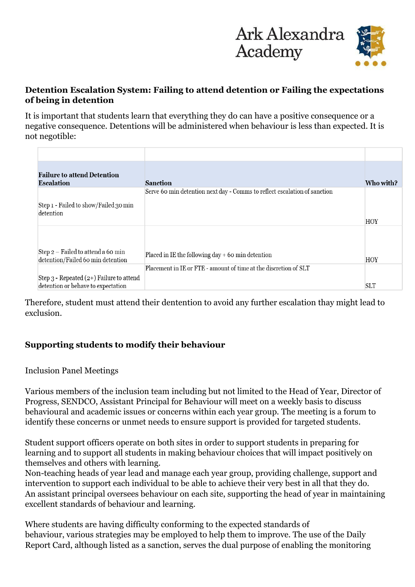

## **Detention Escalation System: Failing to attend detention or Failing the expectations of being in detention**

It is important that students learn that everything they do can have a positive consequence or a negative consequence. Detentions will be administered when behaviour is less than expected. It is not negotible:

| <b>Failure to attend Detention</b><br><b>Escalation</b>                            | <b>Sanction</b>                                                           | Who with?  |
|------------------------------------------------------------------------------------|---------------------------------------------------------------------------|------------|
| Step 1 - Failed to show/Failed 30 min<br>detention                                 | Serve 60 min detention next day - Comms to reflect escalation of sanction | HOY        |
| Step 2 - Failed to attend a 60 min<br>detention/Failed 60 min detention            | Placed in IE the following day $+$ 60 min detention                       | <b>HOY</b> |
| Step $3$ - Repeated $(2+)$ Failure to attend<br>detention or behave to expectation | Placement in IE or FTE - amount of time at the discretion of SLT          | <b>SLT</b> |

Therefore, student must attend their dentention to avoid any further escalation thay might lead to exclusion.

## **Supporting students to modify their behaviour**

## Inclusion Panel Meetings

Various members of the inclusion team including but not limited to the Head of Year, Director of Progress, SENDCO, Assistant Principal for Behaviour will meet on a weekly basis to discuss behavioural and academic issues or concerns within each year group. The meeting is a forum to identify these concerns or unmet needs to ensure support is provided for targeted students.

Student support officers operate on both sites in order to support students in preparing for learning and to support all students in making behaviour choices that will impact positively on themselves and others with learning.

Non-teaching heads of year lead and manage each year group, providing challenge, support and intervention to support each individual to be able to achieve their very best in all that they do. An assistant principal oversees behaviour on each site, supporting the head of year in maintaining excellent standards of behaviour and learning.

Where students are having difficulty conforming to the expected standards of behaviour, various strategies may be employed to help them to improve. The use of the Daily Report Card, although listed as a sanction, serves the dual purpose of enabling the monitoring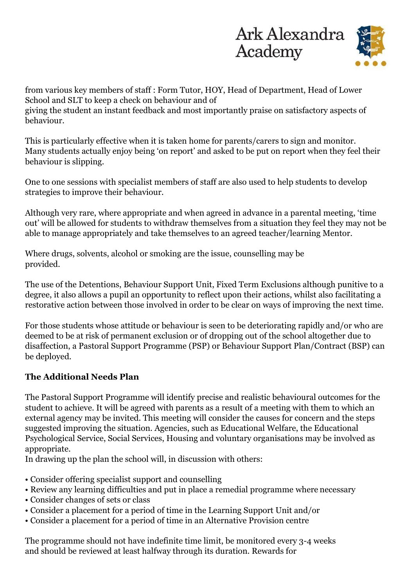

from various key members of staff : Form Tutor, HOY, Head of Department, Head of Lower School and SLT to keep a check on behaviour and of giving the student an instant feedback and most importantly praise on satisfactory aspects of behaviour.

This is particularly effective when it is taken home for parents/carers to sign and monitor. Many students actually enjoy being 'on report' and asked to be put on report when they feel their behaviour is slipping.

One to one sessions with specialist members of staff are also used to help students to develop strategies to improve their behaviour.

Although very rare, where appropriate and when agreed in advance in a parental meeting, 'time out' will be allowed for students to withdraw themselves from a situation they feel they may not be able to manage appropriately and take themselves to an agreed teacher/learning Mentor.

Where drugs, solvents, alcohol or smoking are the issue, counselling may be provided.

The use of the Detentions, Behaviour Support Unit, Fixed Term Exclusions although punitive to a degree, it also allows a pupil an opportunity to reflect upon their actions, whilst also facilitating a restorative action between those involved in order to be clear on ways of improving the next time.

For those students whose attitude or behaviour is seen to be deteriorating rapidly and/or who are deemed to be at risk of permanent exclusion or of dropping out of the school altogether due to disaffection, a Pastoral Support Programme (PSP) or Behaviour Support Plan/Contract (BSP) can be deployed.

## **The Additional Needs Plan**

The Pastoral Support Programme will identify precise and realistic behavioural outcomes for the student to achieve. It will be agreed with parents as a result of a meeting with them to which an external agency may be invited. This meeting will consider the causes for concern and the steps suggested improving the situation. Agencies, such as Educational Welfare, the Educational Psychological Service, Social Services, Housing and voluntary organisations may be involved as appropriate.

In drawing up the plan the school will, in discussion with others:

- Consider offering specialist support and counselling
- Review any learning difficulties and put in place a remedial programme where necessary
- Consider changes of sets or class
- Consider a placement for a period of time in the Learning Support Unit and/or
- Consider a placement for a period of time in an Alternative Provision centre

The programme should not have indefinite time limit, be monitored every 3-4 weeks and should be reviewed at least halfway through its duration. Rewards for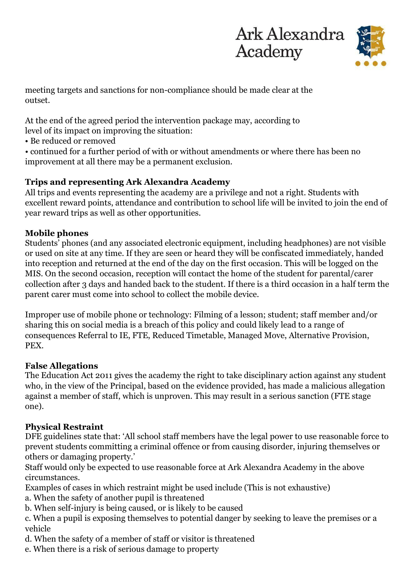



meeting targets and sanctions for non-compliance should be made clear at the outset.

At the end of the agreed period the intervention package may, according to level of its impact on improving the situation:

• Be reduced or removed

• continued for a further period of with or without amendments or where there has been no improvement at all there may be a permanent exclusion.

## **Trips and representing Ark Alexandra Academy**

All trips and events representing the academy are a privilege and not a right. Students with excellent reward points, attendance and contribution to school life will be invited to join the end of year reward trips as well as other opportunities.

## **Mobile phones**

Students' phones (and any associated electronic equipment, including headphones) are not visible or used on site at any time. If they are seen or heard they will be confiscated immediately, handed into reception and returned at the end of the day on the first occasion. This will be logged on the MIS. On the second occasion, reception will contact the home of the student for parental/carer collection after 3 days and handed back to the student. If there is a third occasion in a half term the parent carer must come into school to collect the mobile device.

Improper use of mobile phone or technology: Filming of a lesson; student; staff member and/or sharing this on social media is a breach of this policy and could likely lead to a range of consequences Referral to IE, FTE, Reduced Timetable, Managed Move, Alternative Provision, PEX.

## **False Allegations**

The Education Act 2011 gives the academy the right to take disciplinary action against any student who, in the view of the Principal, based on the evidence provided, has made a malicious allegation against a member of staff, which is unproven. This may result in a serious sanction (FTE stage one).

## **Physical Restraint**

DFE guidelines state that: 'All school staff members have the legal power to use reasonable force to prevent students committing a criminal offence or from causing disorder, injuring themselves or others or damaging property.'

Staff would only be expected to use reasonable force at Ark Alexandra Academy in the above circumstances.

- Examples of cases in which restraint might be used include (This is not exhaustive)
- a. When the safety of another pupil is threatened
- b. When self-injury is being caused, or is likely to be caused
- c. When a pupil is exposing themselves to potential danger by seeking to leave the premises or a vehicle
- d. When the safety of a member of staff or visitor is threatened
- e. When there is a risk of serious damage to property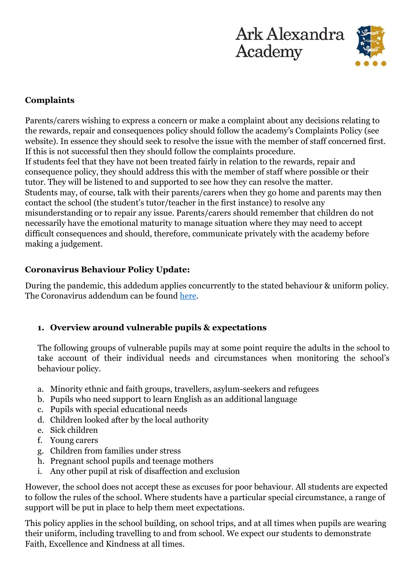



## **Complaints**

Parents/carers wishing to express a concern or make a complaint about any decisions relating to the rewards, repair and consequences policy should follow the academy's Complaints Policy (see website). In essence they should seek to resolve the issue with the member of staff concerned first. If this is not successful then they should follow the complaints procedure. If students feel that they have not been treated fairly in relation to the rewards, repair and consequence policy, they should address this with the member of staff where possible or their tutor. They will be listened to and supported to see how they can resolve the matter. Students may, of course, talk with their parents/carers when they go home and parents may then contact the school (the student's tutor/teacher in the first instance) to resolve any misunderstanding or to repair any issue. Parents/carers should remember that children do not necessarily have the emotional maturity to manage situation where they may need to accept difficult consequences and should, therefore, communicate privately with the academy before making a judgement.

## **Coronavirus Behaviour Policy Update:**

During the pandemic, this addedum applies concurrently to the stated behaviour & uniform policy. The Coronavirus addendum can be found [here.](https://arkalexandra.org/sites/default/files/COVID-19%20Addendum%20to%20Behaviour%20and%20Exclusion%20Policy_0.pdf)

## **1. Overview around vulnerable pupils & expectations**

The following groups of vulnerable pupils may at some point require the adults in the school to take account of their individual needs and circumstances when monitoring the school's behaviour policy.

- a. Minority ethnic and faith groups, travellers, asylum-seekers and refugees
- b. Pupils who need support to learn English as an additional language
- c. Pupils with special educational needs
- d. Children looked after by the local authority
- e. Sick children
- f. Young carers
- g. Children from families under stress
- h. Pregnant school pupils and teenage mothers
- i. Any other pupil at risk of disaffection and exclusion

However, the school does not accept these as excuses for poor behaviour. All students are expected to follow the rules of the school. Where students have a particular special circumstance, a range of support will be put in place to help them meet expectations.

This policy applies in the school building, on school trips, and at all times when pupils are wearing their uniform, including travelling to and from school. We expect our students to demonstrate Faith, Excellence and Kindness at all times.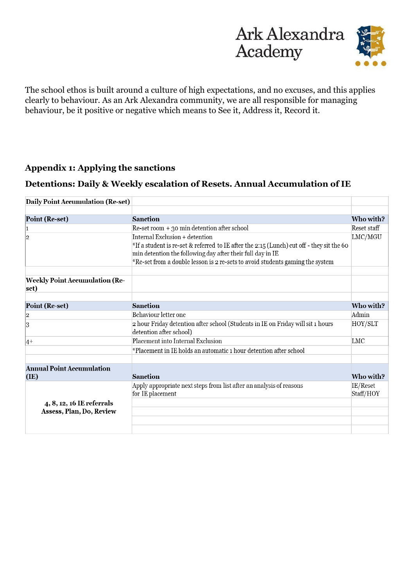

The school ethos is built around a culture of high expectations, and no excuses, and this applies clearly to behaviour. As an Ark Alexandra community, we are all responsible for managing behaviour, be it positive or negative which means to See it, Address it, Record it.

## **Appendix 1: Applying the sanctions**

## **Detentions: Daily & Weekly escalation of Resets. Annual Accumulation of IE**

| Daily Point Accumulation (Re-set)                     |                                                                                                                                                                                                                                                                            |                       |
|-------------------------------------------------------|----------------------------------------------------------------------------------------------------------------------------------------------------------------------------------------------------------------------------------------------------------------------------|-----------------------|
|                                                       |                                                                                                                                                                                                                                                                            |                       |
| Point (Re-set)                                        | <b>Sanction</b>                                                                                                                                                                                                                                                            | Who with?             |
| 1                                                     | $Re-set$ room $+$ 30 min detention after school                                                                                                                                                                                                                            | Reset staff           |
| 2                                                     | Internal Exclusion + detention<br>*If a student is re-set & referred to IE after the 2:15 (Lunch) cut off - they sit the 60<br>min detention the following day after their full day in IE<br>*Re-set from a double lesson is 2 re-sets to avoid students gaming the system | LMC/MGU               |
| <b>Weekly Point Accumulation (Re-</b><br>set)         |                                                                                                                                                                                                                                                                            |                       |
| Point (Re-set)                                        | <b>Sanction</b>                                                                                                                                                                                                                                                            | Who with?             |
| 2                                                     | Behaviour letter one                                                                                                                                                                                                                                                       | Admin                 |
| 3                                                     | 2 hour Friday detention after school (Students in IE on Friday will sit 1 hours<br>detention after school)                                                                                                                                                                 | HOY/SLT               |
| $ 4+$                                                 | Placement into Internal Exclusion                                                                                                                                                                                                                                          | LMC                   |
|                                                       | *Placement in IE holds an automatic 1 hour detention after school                                                                                                                                                                                                          |                       |
| <b>Annual Point Accumulation</b><br>(IE)              | <b>Sanction</b>                                                                                                                                                                                                                                                            | Who with?             |
| 4, 8, 12, 16 IE referrals<br>Assess, Plan, Do, Review | Apply appropriate next steps from list after an analysis of reasons<br>for IE placement                                                                                                                                                                                    | IE/Reset<br>Staff/HOY |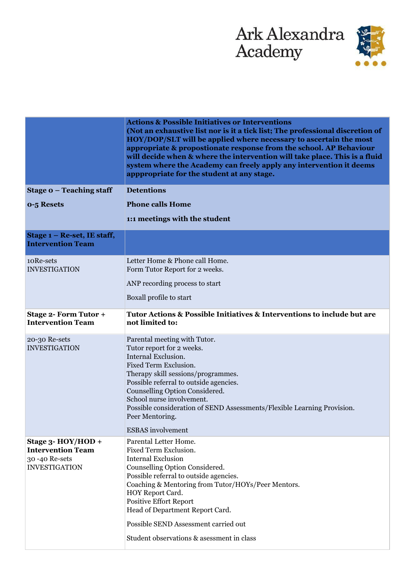

|                                                                                         | <b>Actions &amp; Possible Initiatives or Interventions</b><br>(Not an exhaustive list nor is it a tick list; The professional discretion of<br>HOY/DOP/SLT will be applied where necessary to ascertain the most<br>appropriate & propostionate response from the school. AP Behaviour<br>will decide when & where the intervention will take place. This is a fluid<br>system where the Academy can freely apply any intervention it deems<br>apppropriate for the student at any stage. |
|-----------------------------------------------------------------------------------------|-------------------------------------------------------------------------------------------------------------------------------------------------------------------------------------------------------------------------------------------------------------------------------------------------------------------------------------------------------------------------------------------------------------------------------------------------------------------------------------------|
| Stage $o$ – Teaching staff                                                              | <b>Detentions</b>                                                                                                                                                                                                                                                                                                                                                                                                                                                                         |
| 0-5 Resets                                                                              | <b>Phone calls Home</b>                                                                                                                                                                                                                                                                                                                                                                                                                                                                   |
|                                                                                         | 1:1 meetings with the student                                                                                                                                                                                                                                                                                                                                                                                                                                                             |
| Stage 1 – Re-set, IE staff,<br><b>Intervention Team</b>                                 |                                                                                                                                                                                                                                                                                                                                                                                                                                                                                           |
| 10Re-sets<br><b>INVESTIGATION</b>                                                       | Letter Home & Phone call Home.<br>Form Tutor Report for 2 weeks.                                                                                                                                                                                                                                                                                                                                                                                                                          |
|                                                                                         | ANP recording process to start                                                                                                                                                                                                                                                                                                                                                                                                                                                            |
|                                                                                         | Boxall profile to start                                                                                                                                                                                                                                                                                                                                                                                                                                                                   |
| <b>Stage 2- Form Tutor +</b><br><b>Intervention Team</b>                                | Tutor Actions & Possible Initiatives & Interventions to include but are<br>not limited to:                                                                                                                                                                                                                                                                                                                                                                                                |
| 20-30 Re-sets<br><b>INVESTIGATION</b>                                                   | Parental meeting with Tutor.<br>Tutor report for 2 weeks.<br>Internal Exclusion.<br>Fixed Term Exclusion.<br>Therapy skill sessions/programmes.<br>Possible referral to outside agencies.<br>Counselling Option Considered.<br>School nurse involvement.<br>Possible consideration of SEND Assessments/Flexible Learning Provision.<br>Peer Mentoring.                                                                                                                                    |
|                                                                                         | <b>ESBAS</b> involvement                                                                                                                                                                                                                                                                                                                                                                                                                                                                  |
| Stage 3- HOY/HOD +<br><b>Intervention Team</b><br>30-40 Re-sets<br><b>INVESTIGATION</b> | Parental Letter Home.<br>Fixed Term Exclusion.<br><b>Internal Exclusion</b><br>Counselling Option Considered.<br>Possible referral to outside agencies.<br>Coaching & Mentoring from Tutor/HOYs/Peer Mentors.<br>HOY Report Card.<br><b>Positive Effort Report</b><br>Head of Department Report Card.<br>Possible SEND Assessment carried out<br>Student observations & as essment in class                                                                                               |
|                                                                                         |                                                                                                                                                                                                                                                                                                                                                                                                                                                                                           |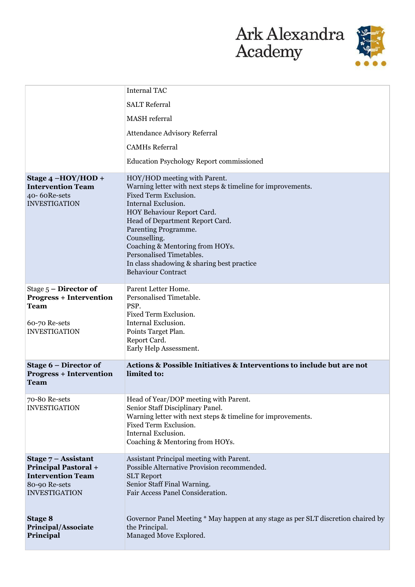

|                                                                                                                           | <b>Internal TAC</b>                                                                                                                                                                                                                                                                                                                                                                            |
|---------------------------------------------------------------------------------------------------------------------------|------------------------------------------------------------------------------------------------------------------------------------------------------------------------------------------------------------------------------------------------------------------------------------------------------------------------------------------------------------------------------------------------|
|                                                                                                                           | <b>SALT Referral</b>                                                                                                                                                                                                                                                                                                                                                                           |
|                                                                                                                           | <b>MASH</b> referral                                                                                                                                                                                                                                                                                                                                                                           |
|                                                                                                                           | <b>Attendance Advisory Referral</b>                                                                                                                                                                                                                                                                                                                                                            |
|                                                                                                                           | <b>CAMHs Referral</b>                                                                                                                                                                                                                                                                                                                                                                          |
|                                                                                                                           | <b>Education Psychology Report commissioned</b>                                                                                                                                                                                                                                                                                                                                                |
| Stage $4 - HOY/HOD +$<br><b>Intervention Team</b><br>40-60Re-sets<br><b>INVESTIGATION</b>                                 | HOY/HOD meeting with Parent.<br>Warning letter with next steps & timeline for improvements.<br>Fixed Term Exclusion.<br>Internal Exclusion.<br>HOY Behaviour Report Card.<br>Head of Department Report Card.<br>Parenting Programme.<br>Counselling.<br>Coaching & Mentoring from HOYs.<br>Personalised Timetables.<br>In class shadowing & sharing best practice<br><b>Behaviour Contract</b> |
| Stage $5$ – Director of<br><b>Progress + Intervention</b><br><b>Team</b><br>60-70 Re-sets<br><b>INVESTIGATION</b>         | Parent Letter Home.<br>Personalised Timetable.<br>PSP.<br>Fixed Term Exclusion.<br>Internal Exclusion.<br>Points Target Plan.<br>Report Card.<br>Early Help Assessment.                                                                                                                                                                                                                        |
| Stage $6$ – Director of<br><b>Progress + Intervention</b><br><b>Team</b>                                                  | Actions & Possible Initiatives & Interventions to include but are not<br>limited to:                                                                                                                                                                                                                                                                                                           |
| 70-80 Re-sets<br><b>INVESTIGATION</b>                                                                                     | Head of Year/DOP meeting with Parent.<br>Senior Staff Disciplinary Panel.<br>Warning letter with next steps & timeline for improvements.<br>Fixed Term Exclusion.<br>Internal Exclusion.<br>Coaching & Mentoring from HOYs.                                                                                                                                                                    |
| Stage $7 -$ Assistant<br><b>Principal Pastoral +</b><br><b>Intervention Team</b><br>80-90 Re-sets<br><b>INVESTIGATION</b> | Assistant Principal meeting with Parent.<br>Possible Alternative Provision recommended.<br><b>SLT Report</b><br>Senior Staff Final Warning.<br>Fair Access Panel Consideration.                                                                                                                                                                                                                |
| <b>Stage 8</b><br>Principal/Associate<br>Principal                                                                        | Governor Panel Meeting * May happen at any stage as per SLT discretion chaired by<br>the Principal.<br>Managed Move Explored.                                                                                                                                                                                                                                                                  |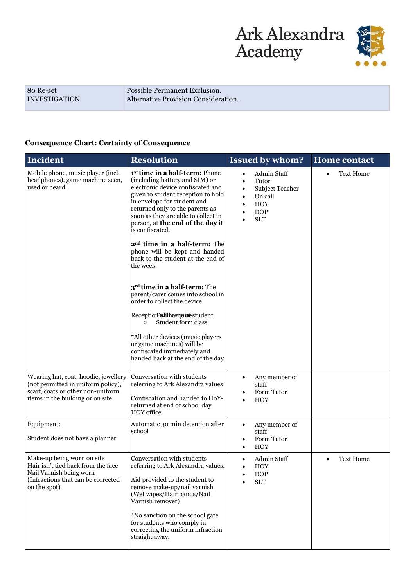

80 Re-set INVESTIGATION Possible Permanent Exclusion. Alternative Provision Consideration.

#### **Consequence Chart: Certainty of Consequence**

| <b>Incident</b>                                                                                                                                      | <b>Resolution</b>                                                                                                                                                                                                                                                                                                                                                                                                                                      | <b>Issued by whom?</b>                                                                                                                                        | <b>Home contact</b>   |
|------------------------------------------------------------------------------------------------------------------------------------------------------|--------------------------------------------------------------------------------------------------------------------------------------------------------------------------------------------------------------------------------------------------------------------------------------------------------------------------------------------------------------------------------------------------------------------------------------------------------|---------------------------------------------------------------------------------------------------------------------------------------------------------------|-----------------------|
| Mobile phone, music player (incl.<br>headphones), game machine seen,<br>used or heard.                                                               | 1 <sup>st</sup> time in a half-term: Phone<br>(including battery and SIM) or<br>electronic device confiscated and<br>given to student reception to hold<br>in envelope for student and<br>returned only to the parents as<br>soon as they are able to collect in<br>person, at the end of the day it<br>is confiscated.<br>2 <sup>nd</sup> time in a half-term: The<br>phone will be kept and handed<br>back to the student at the end of<br>the week. | Admin Staff<br>$\bullet$<br>Tutor<br>$\bullet$<br>Subject Teacher<br>$\bullet$<br>On call<br>$\bullet$<br><b>HOY</b><br><b>DOP</b><br>$\bullet$<br><b>SLT</b> | <b>Text Home</b>      |
|                                                                                                                                                      | 3 <sup>rd</sup> time in a half-term: The<br>parent/carer comes into school in<br>order to collect the device<br>Reception Willham quirestudent                                                                                                                                                                                                                                                                                                         |                                                                                                                                                               |                       |
|                                                                                                                                                      | Student form class<br>2.<br>*All other devices (music players<br>or game machines) will be<br>confiscated immediately and<br>handed back at the end of the day.                                                                                                                                                                                                                                                                                        |                                                                                                                                                               |                       |
| Wearing hat, coat, hoodie, jewellery<br>(not permitted in uniform policy),<br>scarf, coats or other non-uniform<br>items in the building or on site. | Conversation with students<br>referring to Ark Alexandra values<br>Confiscation and handed to HoY-<br>returned at end of school day<br>HOY office.                                                                                                                                                                                                                                                                                                     | Any member of<br>$\bullet$<br>staff<br>Form Tutor<br>$\bullet$<br><b>HOY</b>                                                                                  |                       |
| Equipment:<br>Student does not have a planner                                                                                                        | Automatic 30 min detention after<br>school                                                                                                                                                                                                                                                                                                                                                                                                             | Any member of<br>$\bullet$<br>staff<br>Form Tutor<br>$\bullet$<br><b>HOY</b><br>$\bullet$                                                                     |                       |
| Make-up being worn on site<br>Hair isn't tied back from the face<br>Nail Varnish being worn<br>(Infractions that can be corrected<br>on the spot)    | Conversation with students<br>referring to Ark Alexandra values.<br>Aid provided to the student to<br>remove make-up/nail varnish<br>(Wet wipes/Hair bands/Nail<br>Varnish remover)<br>*No sanction on the school gate<br>for students who comply in<br>correcting the uniform infraction<br>straight away.                                                                                                                                            | Admin Staff<br>$\bullet$<br>HOY<br><b>DOP</b><br>$\bullet$<br><b>SLT</b>                                                                                      | <b>Text Home</b><br>٠ |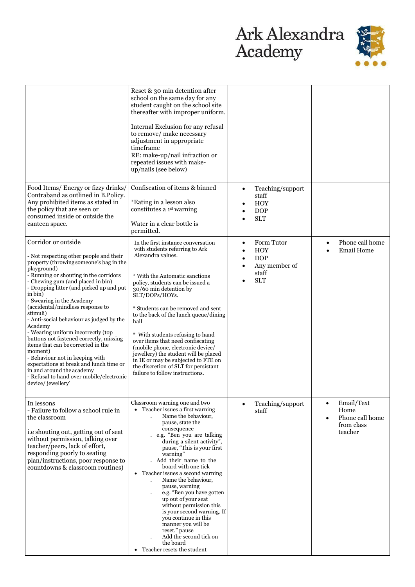

|                                                                                                                                                                                                                                                                                                                                                                                                                                                                                                                                                                                                                                                                                                                   | Reset & 30 min detention after<br>school on the same day for any<br>student caught on the school site<br>thereafter with improper uniform.<br>Internal Exclusion for any refusal<br>to remove/ make necessary<br>adjustment in appropriate<br>timeframe<br>RE: make-up/nail infraction or<br>repeated issues with make-<br>up/nails (see below)                                                                                                                                                                                                                                                                                                |                                                                                             |                                                                                          |
|-------------------------------------------------------------------------------------------------------------------------------------------------------------------------------------------------------------------------------------------------------------------------------------------------------------------------------------------------------------------------------------------------------------------------------------------------------------------------------------------------------------------------------------------------------------------------------------------------------------------------------------------------------------------------------------------------------------------|------------------------------------------------------------------------------------------------------------------------------------------------------------------------------------------------------------------------------------------------------------------------------------------------------------------------------------------------------------------------------------------------------------------------------------------------------------------------------------------------------------------------------------------------------------------------------------------------------------------------------------------------|---------------------------------------------------------------------------------------------|------------------------------------------------------------------------------------------|
| Food Items/ Energy or fizzy drinks/<br>Contraband as outlined in B.Policy.<br>Any prohibited items as stated in<br>the policy that are seen or<br>consumed inside or outside the<br>canteen space.                                                                                                                                                                                                                                                                                                                                                                                                                                                                                                                | Confiscation of items & binned<br>*Eating in a lesson also<br>constitutes a 1 <sup>st</sup> warning<br>Water in a clear bottle is<br>permitted.                                                                                                                                                                                                                                                                                                                                                                                                                                                                                                | Teaching/support<br>$\bullet$<br>staff<br>HOY<br><b>DOP</b><br><b>SLT</b>                   |                                                                                          |
| Corridor or outside<br>- Not respecting other people and their<br>property (throwing someone's bag in the<br>playground)<br>- Running or shouting in the corridors<br>- Chewing gum (and placed in bin)<br>- Dropping litter (and picked up and put<br>in bin)<br>- Swearing in the Academy<br>(accidental/mindless response to<br>stimuli)<br>- Anti-social behaviour as judged by the<br>Academy<br>- Wearing uniform incorrectly (top<br>buttons not fastened correctly, missing<br>items that can be corrected in the<br>moment)<br>- Behaviour not in keeping with<br>expectations at break and lunch time or<br>in and around the academy<br>- Refusal to hand over mobile/electronic<br>device/ jewellery' | In the first instance conversation<br>with students referring to Ark<br>Alexandra values.<br>* With the Automatic sanctions<br>policy, students can be issued a<br>30/60 min detention by<br>SLT/DOPs/HOYs.<br>* Students can be removed and sent<br>to the back of the lunch queue/dining<br>hall<br>* With students refusing to hand<br>over items that need confiscating<br>(mobile phone, electronic device/<br>jewellery) the student will be placed<br>in IE or may be subjected to FTE on<br>the discretion of SLT for persistant<br>failure to follow instructions.                                                                    | Form Tutor<br>$\bullet$<br><b>HOY</b><br><b>DOP</b><br>Any member of<br>staff<br><b>SLT</b> | Phone call home<br>$\bullet$<br><b>Email Home</b>                                        |
| In lessons<br>- Failure to follow a school rule in<br>the classroom<br>i.e shouting out, getting out of seat<br>without permission, talking over<br>teacher/peers, lack of effort,<br>responding poorly to seating<br>plan/instructions, poor response to<br>countdowns & classroom routines)                                                                                                                                                                                                                                                                                                                                                                                                                     | Classroom warning one and two<br>• Teacher issues a first warning<br>Name the behaviour,<br>pause, state the<br>consequence<br>- e.g. "Ben you are talking<br>during a silent activity",<br>pause, "This is your first<br>warning"<br>Add their name to the<br>board with one tick<br>Teacher issues a second warning<br>$\bullet$<br>Name the behaviour,<br>$\overline{a}$<br>pause, warning<br>e.g. "Ben you have gotten<br>up out of your seat<br>without permission this<br>is your second warning. If<br>you continue in this<br>manner you will be<br>reset." pause<br>Add the second tick on<br>the board<br>Teacher resets the student | Teaching/support<br>staff                                                                   | Email/Text<br>$\bullet$<br>Home<br>Phone call home<br>$\bullet$<br>from class<br>teacher |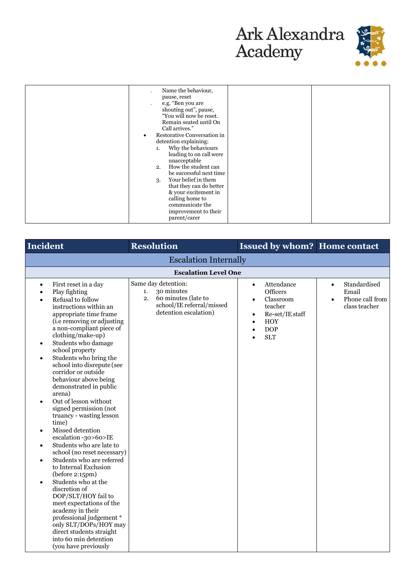

| <b>Incident</b>                                                                                                                                                                                                                                                                                                                                                                                                                                                                                                                                                                                                                                                                                                                                                                                                                                                                                                                                                                                                      | <b>Resolution</b>                                                                                                          | <b>Issued by whom? Home contact</b>                                                                                                                                  |                                                                                     |
|----------------------------------------------------------------------------------------------------------------------------------------------------------------------------------------------------------------------------------------------------------------------------------------------------------------------------------------------------------------------------------------------------------------------------------------------------------------------------------------------------------------------------------------------------------------------------------------------------------------------------------------------------------------------------------------------------------------------------------------------------------------------------------------------------------------------------------------------------------------------------------------------------------------------------------------------------------------------------------------------------------------------|----------------------------------------------------------------------------------------------------------------------------|----------------------------------------------------------------------------------------------------------------------------------------------------------------------|-------------------------------------------------------------------------------------|
| <b>Escalation Internally</b>                                                                                                                                                                                                                                                                                                                                                                                                                                                                                                                                                                                                                                                                                                                                                                                                                                                                                                                                                                                         |                                                                                                                            |                                                                                                                                                                      |                                                                                     |
|                                                                                                                                                                                                                                                                                                                                                                                                                                                                                                                                                                                                                                                                                                                                                                                                                                                                                                                                                                                                                      | <b>Escalation Level One</b>                                                                                                |                                                                                                                                                                      |                                                                                     |
| First reset in a day<br>$\bullet$<br>Play fighting<br>Refusal to follow<br>instructions within an<br>appropriate time frame<br>(i.e removing or adjusting<br>a non-compliant piece of<br>clothing/make-up)<br>Students who damage<br>$\bullet$<br>school property<br>Students who bring the<br>$\bullet$<br>school into disrepute (see<br>corridor or outside<br>behaviour above being<br>demonstrated in public<br>arena)<br>Out of lesson without<br>$\bullet$<br>signed permission (not<br>truancy - wasting lesson<br>time)<br>Missed detention<br>$\bullet$<br>escalation -30>60>IE<br>Students who are late to<br>$\bullet$<br>school (no reset necessary)<br>Students who are referred<br>$\bullet$<br>to Internal Exclusion<br>(before 2:15pm)<br>Students who at the<br>$\bullet$<br>discretion of<br>DOP/SLT/HOY fail to<br>meet expectations of the<br>academy in their<br>professional judgement *<br>only SLT/DOPs/HOY may<br>direct students straight<br>into 60 min detention<br>(you have previously | Same day detention:<br>30 minutes<br>1.<br>60 minutes (late to<br>2.<br>school/IE referral/missed<br>detention escalation) | Attendance<br>$\bullet$<br>Officers<br>Classroom<br>$\bullet$<br>teacher<br>Re-set/IE staff<br>٠<br><b>HOY</b><br>$\bullet$<br><b>DOP</b><br>$\bullet$<br><b>SLT</b> | Standardised<br>$\bullet$<br>Email<br>Phone call from<br>$\bullet$<br>class teacher |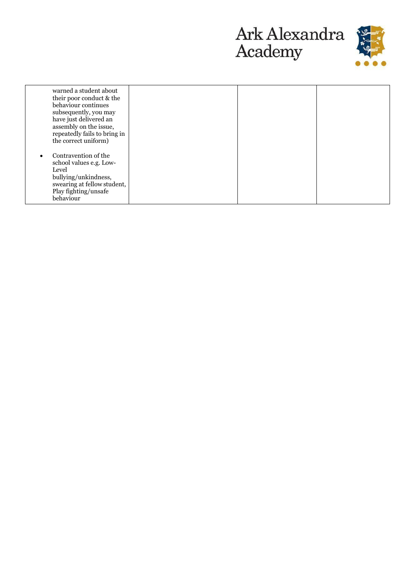



| warned a student about<br>their poor conduct & the<br>behaviour continues<br>subsequently, you may<br>have just delivered an<br>assembly on the issue,<br>repeatedly fails to bring in<br>the correct uniform) |  |  |
|----------------------------------------------------------------------------------------------------------------------------------------------------------------------------------------------------------------|--|--|
| Contravention of the<br>school values e.g. Low-<br>Level<br>bullying/unkindness,<br>swearing at fellow student,<br>Play fighting/unsafe<br>behaviour                                                           |  |  |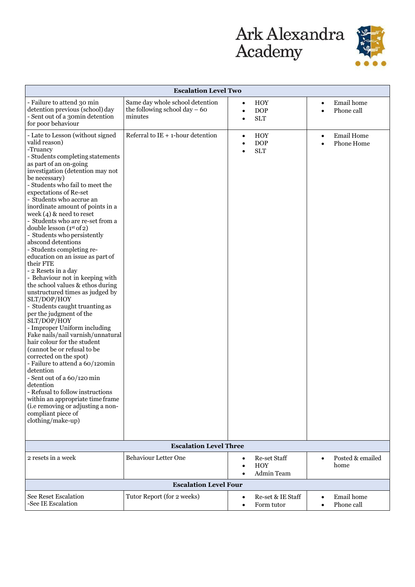

| <b>Escalation Level Two</b>                                                                                                                                                                                                                                                                                                                                                                                                                                                                                                                                                                                                                                                                                                                                                                                                                                                                                                                                                                                                                                                                                                                                                                  |                                                                              |                                                                        |                                                           |
|----------------------------------------------------------------------------------------------------------------------------------------------------------------------------------------------------------------------------------------------------------------------------------------------------------------------------------------------------------------------------------------------------------------------------------------------------------------------------------------------------------------------------------------------------------------------------------------------------------------------------------------------------------------------------------------------------------------------------------------------------------------------------------------------------------------------------------------------------------------------------------------------------------------------------------------------------------------------------------------------------------------------------------------------------------------------------------------------------------------------------------------------------------------------------------------------|------------------------------------------------------------------------------|------------------------------------------------------------------------|-----------------------------------------------------------|
| - Failure to attend 30 min<br>detention previous (school) day<br>- Sent out of a 30min detention<br>for poor behaviour                                                                                                                                                                                                                                                                                                                                                                                                                                                                                                                                                                                                                                                                                                                                                                                                                                                                                                                                                                                                                                                                       | Same day whole school detention<br>the following school day $-60$<br>minutes | HOY<br>$\bullet$<br><b>DOP</b><br>$\bullet$<br><b>SLT</b><br>$\bullet$ | Email home<br>$\bullet$<br>Phone call<br>$\bullet$        |
| - Late to Lesson (without signed<br>valid reason)<br>-Truancy<br>- Students completing statements<br>as part of an on-going<br>investigation (detention may not<br>be necessary)<br>- Students who fail to meet the<br>expectations of Re-set<br>- Students who accrue an<br>inordinate amount of points in a<br>week $(4)$ & need to reset<br>- Students who are re-set from a<br>double lesson $(1st of 2)$<br>- Students who persistently<br>abscond detentions<br>- Students completing re-<br>education on an issue as part of<br>their FTE<br>- 2 Resets in a day<br>- Behaviour not in keeping with<br>the school values & ethos during<br>unstructured times as judged by<br>SLT/DOP/HOY<br>- Students caught truanting as<br>per the judgment of the<br>SLT/DOP/HOY<br>- Improper Uniform including<br>Fake nails/nail varnish/unnatural<br>hair colour for the student<br>(cannot be or refusal to be<br>corrected on the spot)<br>- Failure to attend a 60/120min<br>detention<br>- Sent out of a 60/120 min<br>detention<br>- Refusal to follow instructions<br>within an appropriate time frame<br>(i.e removing or adjusting a non-<br>compliant piece of<br>clothing/make-up) | Referral to $IE + 1$ -hour detention                                         | HOY<br>$\bullet$<br><b>DOP</b><br>$\bullet$<br><b>SLT</b><br>$\bullet$ | <b>Email Home</b><br>$\bullet$<br>Phone Home<br>$\bullet$ |
|                                                                                                                                                                                                                                                                                                                                                                                                                                                                                                                                                                                                                                                                                                                                                                                                                                                                                                                                                                                                                                                                                                                                                                                              | <b>Escalation Level Three</b>                                                |                                                                        |                                                           |
| 2 resets in a week                                                                                                                                                                                                                                                                                                                                                                                                                                                                                                                                                                                                                                                                                                                                                                                                                                                                                                                                                                                                                                                                                                                                                                           | <b>Behaviour Letter One</b>                                                  | Re-set Staff<br>$\bullet$<br><b>HOY</b><br>Admin Team                  | Posted & emailed<br>$\bullet$<br>home                     |
| <b>Escalation Level Four</b>                                                                                                                                                                                                                                                                                                                                                                                                                                                                                                                                                                                                                                                                                                                                                                                                                                                                                                                                                                                                                                                                                                                                                                 |                                                                              |                                                                        |                                                           |
| See Reset Escalation<br>-See IE Escalation                                                                                                                                                                                                                                                                                                                                                                                                                                                                                                                                                                                                                                                                                                                                                                                                                                                                                                                                                                                                                                                                                                                                                   | Tutor Report (for 2 weeks)                                                   | Re-set & IE Staff<br>$\bullet$<br>Form tutor<br>$\bullet$              | Email home<br>$\bullet$<br>Phone call<br>$\bullet$        |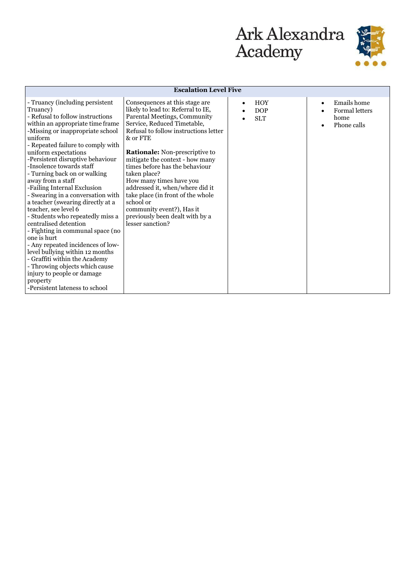

| <b>Escalation Level Five</b>                                                                                                                                                                                                                                                                                                                                                                                                                                                                                                                                                                                                                                                                                                                                                                                                 |                                                                                                                                                                                                                                                                                                                                                                                                                                                                                                                     |                                                     |                                                                          |
|------------------------------------------------------------------------------------------------------------------------------------------------------------------------------------------------------------------------------------------------------------------------------------------------------------------------------------------------------------------------------------------------------------------------------------------------------------------------------------------------------------------------------------------------------------------------------------------------------------------------------------------------------------------------------------------------------------------------------------------------------------------------------------------------------------------------------|---------------------------------------------------------------------------------------------------------------------------------------------------------------------------------------------------------------------------------------------------------------------------------------------------------------------------------------------------------------------------------------------------------------------------------------------------------------------------------------------------------------------|-----------------------------------------------------|--------------------------------------------------------------------------|
| - Truancy (including persistent<br>Truancy)<br>- Refusal to follow instructions<br>within an appropriate time frame<br>-Missing or inappropriate school<br>uniform<br>- Repeated failure to comply with<br>uniform expectations<br>-Persistent disruptive behaviour<br>-Insolence towards staff<br>- Turning back on or walking<br>away from a staff<br>-Failing Internal Exclusion<br>- Swearing in a conversation with<br>a teacher (swearing directly at a<br>teacher, see level 6<br>- Students who repeatedly miss a<br>centralised detention<br>- Fighting in communal space (no<br>one is hurt<br>- Any repeated incidences of low-<br>level bullying within 12 months<br>- Graffiti within the Academy<br>- Throwing objects which cause<br>injury to people or damage<br>property<br>-Persistent lateness to school | Consequences at this stage are<br>likely to lead to: Referral to IE,<br>Parental Meetings, Community<br>Service, Reduced Timetable,<br>Refusal to follow instructions letter<br>& or FTE<br>Rationale: Non-prescriptive to<br>mitigate the context - how many<br>times before has the behaviour<br>taken place?<br>How many times have you<br>addressed it, when/where did it<br>take place (in front of the whole<br>school or<br>community event?), Has it<br>previously been dealt with by a<br>lesser sanction? | <b>HOY</b><br>$\bullet$<br><b>DOP</b><br><b>SLT</b> | Emails home<br>$\bullet$<br><b>Formal letters</b><br>home<br>Phone calls |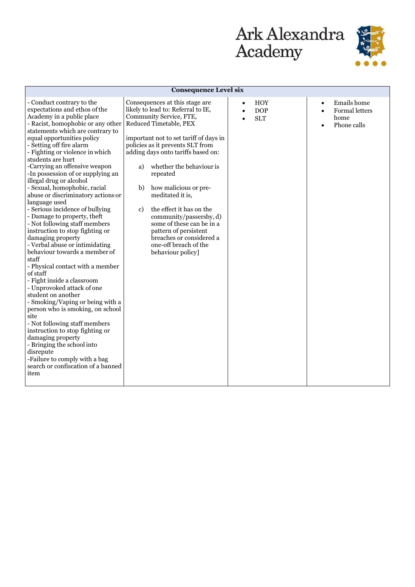

| <b>Consequence Level six</b>                                                                                                                                                                                                                                                                                                                                                                                                                                                                                                                                                                                                                                                                                                                                                                                                                                                                                                                                                                                                                                                                                                                           |                                                                                                                                                                                                                                                                                                                                                                                                                                                                                                                                                       |                                                                               |                                                                                |
|--------------------------------------------------------------------------------------------------------------------------------------------------------------------------------------------------------------------------------------------------------------------------------------------------------------------------------------------------------------------------------------------------------------------------------------------------------------------------------------------------------------------------------------------------------------------------------------------------------------------------------------------------------------------------------------------------------------------------------------------------------------------------------------------------------------------------------------------------------------------------------------------------------------------------------------------------------------------------------------------------------------------------------------------------------------------------------------------------------------------------------------------------------|-------------------------------------------------------------------------------------------------------------------------------------------------------------------------------------------------------------------------------------------------------------------------------------------------------------------------------------------------------------------------------------------------------------------------------------------------------------------------------------------------------------------------------------------------------|-------------------------------------------------------------------------------|--------------------------------------------------------------------------------|
| - Conduct contrary to the<br>expectations and ethos of the<br>Academy in a public place<br>- Racist, homophobic or any other<br>statements which are contrary to<br>equal opportunities policy<br>- Setting off fire alarm<br>- Fighting or violence in which<br>students are hurt<br>-Carrying an offensive weapon<br>-In possession of or supplying an<br>illegal drug or alcohol<br>- Sexual, homophobic, racial<br>abuse or discriminatory actions or<br>language used<br>- Serious incidence of bullying<br>- Damage to property, theft<br>- Not following staff members<br>instruction to stop fighting or<br>damaging property<br>- Verbal abuse or intimidating<br>behaviour towards a member of<br>staff<br>- Physical contact with a member<br>of staff<br>- Fight inside a classroom<br>- Unprovoked attack of one<br>student on another<br>- Smoking/Vaping or being with a<br>person who is smoking, on school<br>site<br>- Not following staff members<br>instruction to stop fighting or<br>damaging property<br>- Bringing the school into<br>disrepute<br>-Failure to comply with a bag<br>search or confiscation of a banned<br>item | Consequences at this stage are<br>likely to lead to: Referral to IE,<br>Community Service, FTE,<br>Reduced Timetable, PEX<br>important not to set tariff of days in<br>policies as it prevents SLT from<br>adding days onto tariffs based on:<br>whether the behaviour is<br>a)<br>repeated<br>b)<br>how malicious or pre-<br>meditated it is,<br>the effect it has on the<br>$\mathbf{c}$<br>community/passersby, d)<br>some of these can be in a<br>pattern of persistent<br>breaches or considered a<br>one-off breach of the<br>behaviour policy] | <b>HOY</b><br>$\bullet$<br><b>DOP</b><br>$\bullet$<br><b>SLT</b><br>$\bullet$ | Emails home<br>$\bullet$<br>Formal letters<br>$\bullet$<br>home<br>Phone calls |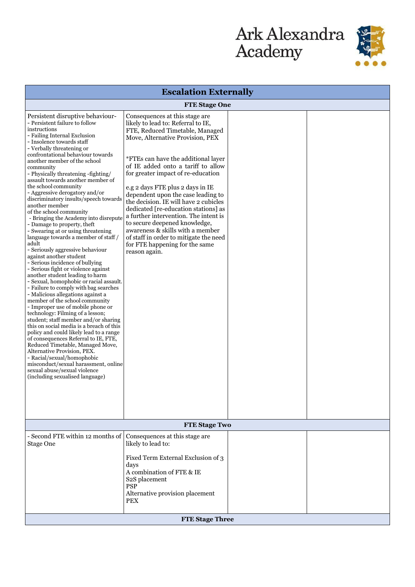

| <b>Escalation Externally</b>                                                                                                                                                                                                                                                                                                                                                                                                                                                                                                                                                                                                                                                                                                                                                                                                                                                                                                                                                                                                                                                                                                                                                                                                                                                                                                                                                                                                                                 |                                                                                                                                                                                                                                                                                                                                                                                                                                                                                                                                                                                                                                       |  |  |
|--------------------------------------------------------------------------------------------------------------------------------------------------------------------------------------------------------------------------------------------------------------------------------------------------------------------------------------------------------------------------------------------------------------------------------------------------------------------------------------------------------------------------------------------------------------------------------------------------------------------------------------------------------------------------------------------------------------------------------------------------------------------------------------------------------------------------------------------------------------------------------------------------------------------------------------------------------------------------------------------------------------------------------------------------------------------------------------------------------------------------------------------------------------------------------------------------------------------------------------------------------------------------------------------------------------------------------------------------------------------------------------------------------------------------------------------------------------|---------------------------------------------------------------------------------------------------------------------------------------------------------------------------------------------------------------------------------------------------------------------------------------------------------------------------------------------------------------------------------------------------------------------------------------------------------------------------------------------------------------------------------------------------------------------------------------------------------------------------------------|--|--|
| <b>FTE Stage One</b>                                                                                                                                                                                                                                                                                                                                                                                                                                                                                                                                                                                                                                                                                                                                                                                                                                                                                                                                                                                                                                                                                                                                                                                                                                                                                                                                                                                                                                         |                                                                                                                                                                                                                                                                                                                                                                                                                                                                                                                                                                                                                                       |  |  |
| Persistent disruptive behaviour-<br>- Persistent failure to follow<br>instructions<br>- Failing Internal Exclusion<br>- Insolence towards staff<br>- Verbally threatening or<br>confrontational behaviour towards<br>another member of the school<br>community<br>- Physically threatening -fighting/<br>assault towards another member of<br>the school community<br>- Aggressive derogatory and/or<br>discriminatory insults/speech towards<br>another member<br>of the school community<br>- Bringing the Academy into disrepute<br>- Damage to property, theft<br>- Swearing at or using threatening<br>language towards a member of staff /<br>adult<br>- Seriously aggressive behaviour<br>against another student<br>- Serious incidence of bullying<br>- Serious fight or violence against<br>another student leading to harm<br>- Sexual, homophobic or racial assault.<br>- Failure to comply with bag searches<br>- Malicious allegations against a<br>member of the school community<br>- Improper use of mobile phone or<br>technology: Filming of a lesson;<br>student; staff member and/or sharing<br>this on social media is a breach of this<br>policy and could likely lead to a range<br>of consequences Referral to IE, FTE,<br>Reduced Timetable, Managed Move,<br>Alternative Provision, PEX.<br>- Racial/sexual/homophobic<br>misconduct/sexual harassment, online<br>sexual abuse/sexual violence<br>(including sexualised language) | Consequences at this stage are.<br>likely to lead to: Referral to IE,<br>FTE, Reduced Timetable, Managed<br>Move, Alternative Provision, PEX<br>*FTEs can have the additional layer<br>of IE added onto a tariff to allow<br>for greater impact of re-education<br>e.g 2 days FTE plus 2 days in IE<br>dependent upon the case leading to<br>the decision. IE will have 2 cubicles<br>dedicated [re-education stations] as<br>a further intervention. The intent is<br>to secure deepened knowledge,<br>awareness & skills with a member<br>of staff in order to mitigate the need<br>for FTE happening for the same<br>reason again. |  |  |
| <b>FTE Stage Two</b>                                                                                                                                                                                                                                                                                                                                                                                                                                                                                                                                                                                                                                                                                                                                                                                                                                                                                                                                                                                                                                                                                                                                                                                                                                                                                                                                                                                                                                         |                                                                                                                                                                                                                                                                                                                                                                                                                                                                                                                                                                                                                                       |  |  |
| - Second FTE within 12 months of<br>Stage One                                                                                                                                                                                                                                                                                                                                                                                                                                                                                                                                                                                                                                                                                                                                                                                                                                                                                                                                                                                                                                                                                                                                                                                                                                                                                                                                                                                                                | Consequences at this stage are<br>likely to lead to:<br>Fixed Term External Exclusion of 3<br>days<br>A combination of FTE & IE<br>S <sub>2</sub> S placement<br><b>PSP</b><br>Alternative provision placement<br>PEX                                                                                                                                                                                                                                                                                                                                                                                                                 |  |  |
| <b>FTE Stage Three</b>                                                                                                                                                                                                                                                                                                                                                                                                                                                                                                                                                                                                                                                                                                                                                                                                                                                                                                                                                                                                                                                                                                                                                                                                                                                                                                                                                                                                                                       |                                                                                                                                                                                                                                                                                                                                                                                                                                                                                                                                                                                                                                       |  |  |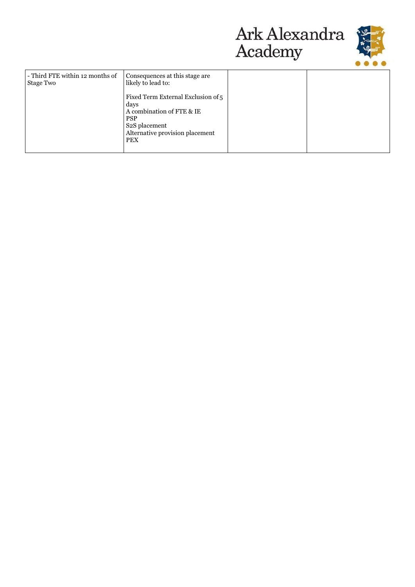



| - Third FTE within 12 months of<br>Stage Two | Consequences at this stage are<br>likely to lead to:                                                                                                                 |  |
|----------------------------------------------|----------------------------------------------------------------------------------------------------------------------------------------------------------------------|--|
|                                              | Fixed Term External Exclusion of 5<br>days<br>A combination of FTE & IE<br><b>PSP</b><br>S <sub>2</sub> S placement<br>Alternative provision placement<br><b>PEX</b> |  |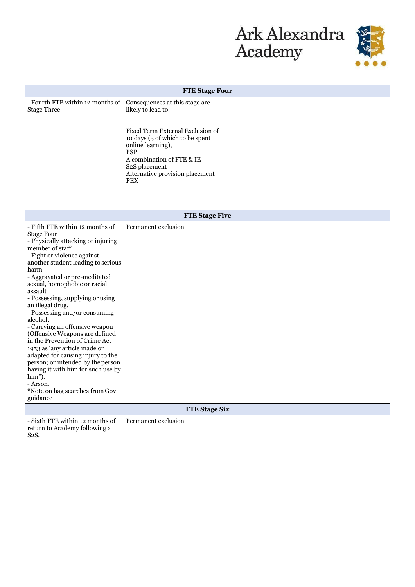



|                                                        | <b>FTE Stage Four</b>                                                                                                                                                                                               |  |  |
|--------------------------------------------------------|---------------------------------------------------------------------------------------------------------------------------------------------------------------------------------------------------------------------|--|--|
| - Fourth FTE within 12 months of<br><b>Stage Three</b> | Consequences at this stage are<br>likely to lead to:                                                                                                                                                                |  |  |
|                                                        | Fixed Term External Exclusion of<br>10 days (5 of which to be spent)<br>online learning),<br><b>PSP</b><br>A combination of FTE & IE<br>S <sub>2</sub> S placement<br>Alternative provision placement<br><b>PEX</b> |  |  |

| <b>FTE Stage Five</b>                                                                                                                                                                                                                                                                                                                                                                                                                                                                                                                                                                                                                                                                                 |                     |  |  |
|-------------------------------------------------------------------------------------------------------------------------------------------------------------------------------------------------------------------------------------------------------------------------------------------------------------------------------------------------------------------------------------------------------------------------------------------------------------------------------------------------------------------------------------------------------------------------------------------------------------------------------------------------------------------------------------------------------|---------------------|--|--|
| - Fifth FTE within 12 months of<br><b>Stage Four</b><br>- Physically attacking or injuring<br>member of staff<br>- Fight or violence against<br>another student leading to serious<br>harm<br>- Aggravated or pre-meditated<br>sexual, homophobic or racial<br>assault<br>- Possessing, supplying or using<br>an illegal drug.<br>- Possessing and/or consuming<br>alcohol.<br>- Carrying an offensive weapon<br>(Offensive Weapons are defined<br>in the Prevention of Crime Act<br>1953 as 'any article made or<br>adapted for causing injury to the<br>person; or intended by the person<br>having it with him for such use by<br>him").<br>- Arson.<br>*Note on bag searches from Gov<br>guidance | Permanent exclusion |  |  |
| <b>FTE Stage Six</b>                                                                                                                                                                                                                                                                                                                                                                                                                                                                                                                                                                                                                                                                                  |                     |  |  |
| - Sixth FTE within 12 months of<br>return to Academy following a<br>S <sub>2</sub> S.                                                                                                                                                                                                                                                                                                                                                                                                                                                                                                                                                                                                                 | Permanent exclusion |  |  |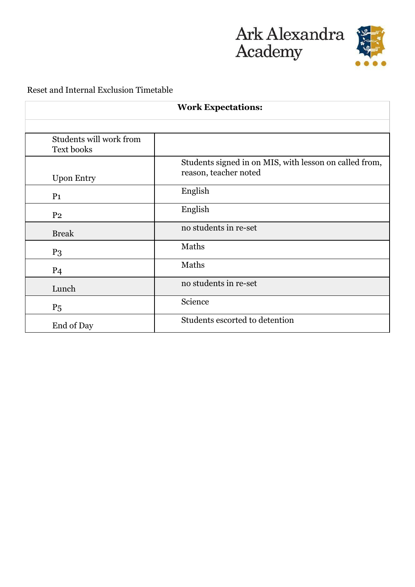



## Reset and Internal Exclusion Timetable

| <b>Work Expectations:</b>             |                                                                                 |  |  |
|---------------------------------------|---------------------------------------------------------------------------------|--|--|
|                                       |                                                                                 |  |  |
| Students will work from<br>Text books |                                                                                 |  |  |
| <b>Upon Entry</b>                     | Students signed in on MIS, with lesson on called from,<br>reason, teacher noted |  |  |
| P <sub>1</sub>                        | English                                                                         |  |  |
| P <sub>2</sub>                        | English                                                                         |  |  |
| <b>Break</b>                          | no students in re-set                                                           |  |  |
| $P_3$                                 | Maths                                                                           |  |  |
| P <sub>4</sub>                        | Maths                                                                           |  |  |
| Lunch                                 | no students in re-set                                                           |  |  |
| $P_5$                                 | Science                                                                         |  |  |
| End of Day                            | Students escorted to detention                                                  |  |  |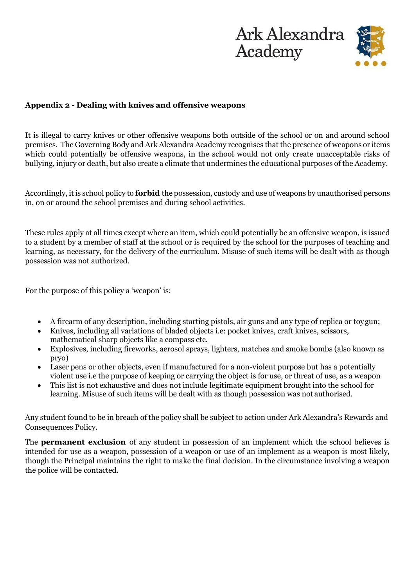



#### **Appendix 2 - Dealing with knives and offensive weapons**

It is illegal to carry knives or other offensive weapons both outside of the school or on and around school premises. The Governing Body and Ark Alexandra Academy recognises that the presence of weapons or items which could potentially be offensive weapons, in the school would not only create unacceptable risks of bullying, injury or death, but also create a climate that undermines the educational purposes of the Academy.

Accordingly, it is school policy to **forbid** the possession, custody and use of weapons by unauthorised persons in, on or around the school premises and during school activities.

These rules apply at all times except where an item, which could potentially be an offensive weapon, is issued to a student by a member of staff at the school or is required by the school for the purposes of teaching and learning, as necessary, for the delivery of the curriculum. Misuse of such items will be dealt with as though possession was not authorized.

For the purpose of this policy a 'weapon' is:

- A firearm of any description, including starting pistols, air guns and any type of replica or toygun;
- Knives, including all variations of bladed objects i.e: pocket knives, craft knives, scissors, mathematical sharp objects like a compass etc.
- Explosives, including fireworks, aerosol sprays, lighters, matches and smoke bombs (also known as pryo)
- Laser pens or other objects, even if manufactured for a non-violent purpose but has a potentially violent use i.e the purpose of keeping or carrying the object is for use, or threat of use, as a weapon
- This list is not exhaustive and does not include legitimate equipment brought into the school for learning. Misuse of such items will be dealt with as though possession was not authorised.

Any student found to be in breach of the policy shall be subject to action under Ark Alexandra's Rewards and Consequences Policy.

The **permanent exclusion** of any student in possession of an implement which the school believes is intended for use as a weapon, possession of a weapon or use of an implement as a weapon is most likely, though the Principal maintains the right to make the final decision. In the circumstance involving a weapon the police will be contacted.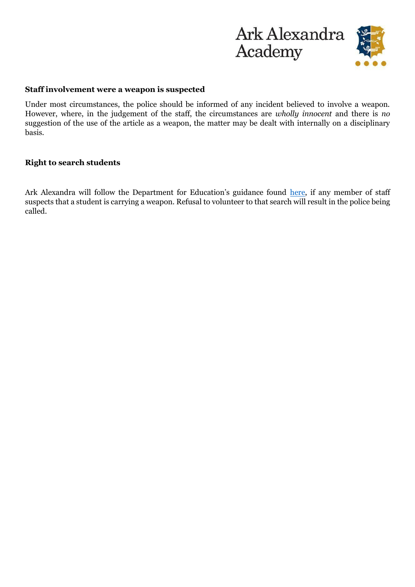

#### **Staff involvement were a weapon is suspected**

Under most circumstances, the police should be informed of any incident believed to involve a weapon. However, where, in the judgement of the staff, the circumstances are *wholly innocent* and there is *no*  suggestion of the use of the article as a weapon, the matter may be dealt with internally on a disciplinary basis.

#### **Right to search students**

Ark Alexandra will follow the Department for Education's guidance found [here,](https://assets.publishing.service.gov.uk/government/uploads/system/uploads/attachment_data/file/674416/Searching_screening_and_confiscation.pdf) if any member of staff suspects that a student is carrying a weapon. Refusal to volunteer to that search will result in the police being called.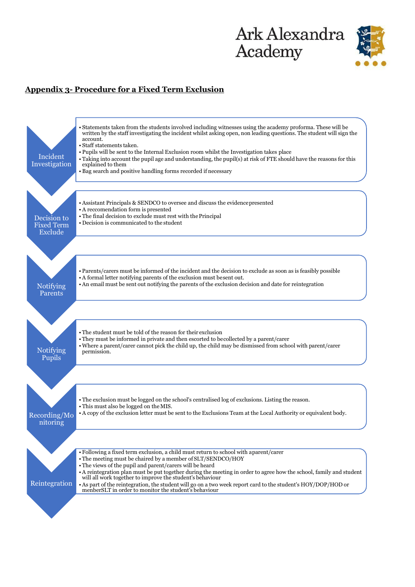

## **Appendix 3- Procedure for a Fixed Term Exclusion**